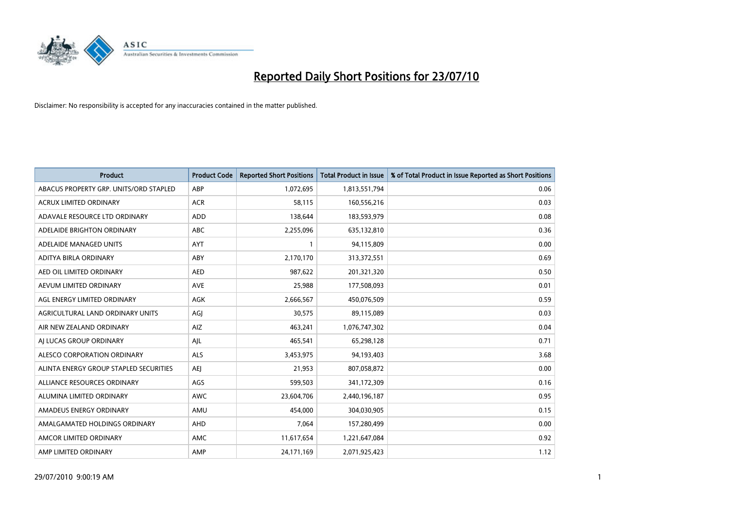

| <b>Product</b>                         | <b>Product Code</b> | <b>Reported Short Positions</b> | <b>Total Product in Issue</b> | % of Total Product in Issue Reported as Short Positions |
|----------------------------------------|---------------------|---------------------------------|-------------------------------|---------------------------------------------------------|
| ABACUS PROPERTY GRP. UNITS/ORD STAPLED | ABP                 | 1,072,695                       | 1,813,551,794                 | 0.06                                                    |
| ACRUX LIMITED ORDINARY                 | <b>ACR</b>          | 58,115                          | 160,556,216                   | 0.03                                                    |
| ADAVALE RESOURCE LTD ORDINARY          | <b>ADD</b>          | 138.644                         | 183,593,979                   | 0.08                                                    |
| ADELAIDE BRIGHTON ORDINARY             | <b>ABC</b>          | 2,255,096                       | 635,132,810                   | 0.36                                                    |
| ADELAIDE MANAGED UNITS                 | AYT                 |                                 | 94,115,809                    | 0.00                                                    |
| ADITYA BIRLA ORDINARY                  | ABY                 | 2,170,170                       | 313,372,551                   | 0.69                                                    |
| AED OIL LIMITED ORDINARY               | <b>AED</b>          | 987,622                         | 201,321,320                   | 0.50                                                    |
| AEVUM LIMITED ORDINARY                 | <b>AVE</b>          | 25,988                          | 177,508,093                   | 0.01                                                    |
| AGL ENERGY LIMITED ORDINARY            | <b>AGK</b>          | 2,666,567                       | 450,076,509                   | 0.59                                                    |
| AGRICULTURAL LAND ORDINARY UNITS       | AGI                 | 30,575                          | 89,115,089                    | 0.03                                                    |
| AIR NEW ZEALAND ORDINARY               | AIZ                 | 463,241                         | 1,076,747,302                 | 0.04                                                    |
| AI LUCAS GROUP ORDINARY                | AJL                 | 465,541                         | 65,298,128                    | 0.71                                                    |
| ALESCO CORPORATION ORDINARY            | <b>ALS</b>          | 3,453,975                       | 94,193,403                    | 3.68                                                    |
| ALINTA ENERGY GROUP STAPLED SECURITIES | <b>AEI</b>          | 21,953                          | 807,058,872                   | 0.00                                                    |
| ALLIANCE RESOURCES ORDINARY            | AGS                 | 599,503                         | 341,172,309                   | 0.16                                                    |
| ALUMINA LIMITED ORDINARY               | <b>AWC</b>          | 23,604,706                      | 2,440,196,187                 | 0.95                                                    |
| AMADEUS ENERGY ORDINARY                | AMU                 | 454,000                         | 304,030,905                   | 0.15                                                    |
| AMALGAMATED HOLDINGS ORDINARY          | AHD                 | 7,064                           | 157,280,499                   | 0.00                                                    |
| AMCOR LIMITED ORDINARY                 | <b>AMC</b>          | 11,617,654                      | 1,221,647,084                 | 0.92                                                    |
| AMP LIMITED ORDINARY                   | AMP                 | 24,171,169                      | 2,071,925,423                 | 1.12                                                    |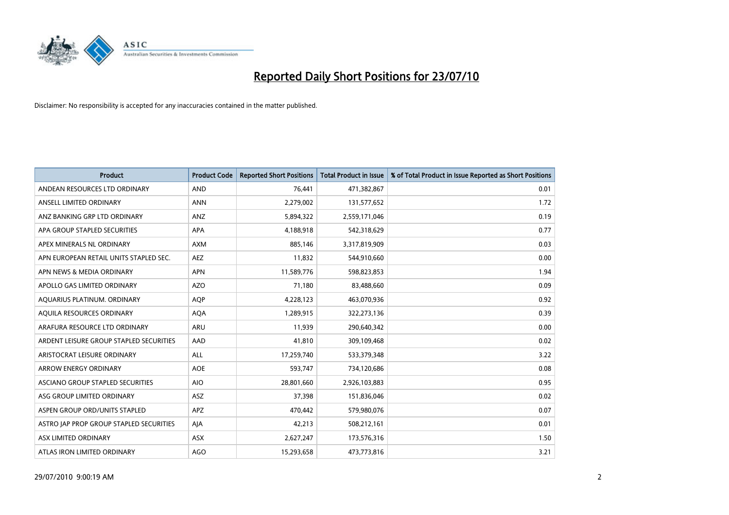

| <b>Product</b>                          | <b>Product Code</b> | <b>Reported Short Positions</b> | <b>Total Product in Issue</b> | % of Total Product in Issue Reported as Short Positions |
|-----------------------------------------|---------------------|---------------------------------|-------------------------------|---------------------------------------------------------|
| ANDEAN RESOURCES LTD ORDINARY           | <b>AND</b>          | 76.441                          | 471,382,867                   | 0.01                                                    |
| ANSELL LIMITED ORDINARY                 | <b>ANN</b>          | 2,279,002                       | 131,577,652                   | 1.72                                                    |
| ANZ BANKING GRP LTD ORDINARY            | ANZ                 | 5,894,322                       | 2,559,171,046                 | 0.19                                                    |
| APA GROUP STAPLED SECURITIES            | <b>APA</b>          | 4,188,918                       | 542,318,629                   | 0.77                                                    |
| APEX MINERALS NL ORDINARY               | <b>AXM</b>          | 885,146                         | 3,317,819,909                 | 0.03                                                    |
| APN EUROPEAN RETAIL UNITS STAPLED SEC.  | <b>AEZ</b>          | 11,832                          | 544,910,660                   | 0.00                                                    |
| APN NEWS & MEDIA ORDINARY               | <b>APN</b>          | 11,589,776                      | 598,823,853                   | 1.94                                                    |
| APOLLO GAS LIMITED ORDINARY             | <b>AZO</b>          | 71.180                          | 83,488,660                    | 0.09                                                    |
| AQUARIUS PLATINUM. ORDINARY             | <b>AOP</b>          | 4,228,123                       | 463,070,936                   | 0.92                                                    |
| AQUILA RESOURCES ORDINARY               | <b>AQA</b>          | 1,289,915                       | 322,273,136                   | 0.39                                                    |
| ARAFURA RESOURCE LTD ORDINARY           | <b>ARU</b>          | 11,939                          | 290,640,342                   | 0.00                                                    |
| ARDENT LEISURE GROUP STAPLED SECURITIES | AAD                 | 41,810                          | 309,109,468                   | 0.02                                                    |
| ARISTOCRAT LEISURE ORDINARY             | <b>ALL</b>          | 17,259,740                      | 533,379,348                   | 3.22                                                    |
| <b>ARROW ENERGY ORDINARY</b>            | <b>AOE</b>          | 593,747                         | 734,120,686                   | 0.08                                                    |
| ASCIANO GROUP STAPLED SECURITIES        | <b>AIO</b>          | 28,801,660                      | 2,926,103,883                 | 0.95                                                    |
| ASG GROUP LIMITED ORDINARY              | <b>ASZ</b>          | 37,398                          | 151,836,046                   | 0.02                                                    |
| ASPEN GROUP ORD/UNITS STAPLED           | <b>APZ</b>          | 470,442                         | 579,980,076                   | 0.07                                                    |
| ASTRO JAP PROP GROUP STAPLED SECURITIES | AJA                 | 42,213                          | 508,212,161                   | 0.01                                                    |
| ASX LIMITED ORDINARY                    | ASX                 | 2,627,247                       | 173,576,316                   | 1.50                                                    |
| ATLAS IRON LIMITED ORDINARY             | <b>AGO</b>          | 15,293,658                      | 473,773,816                   | 3.21                                                    |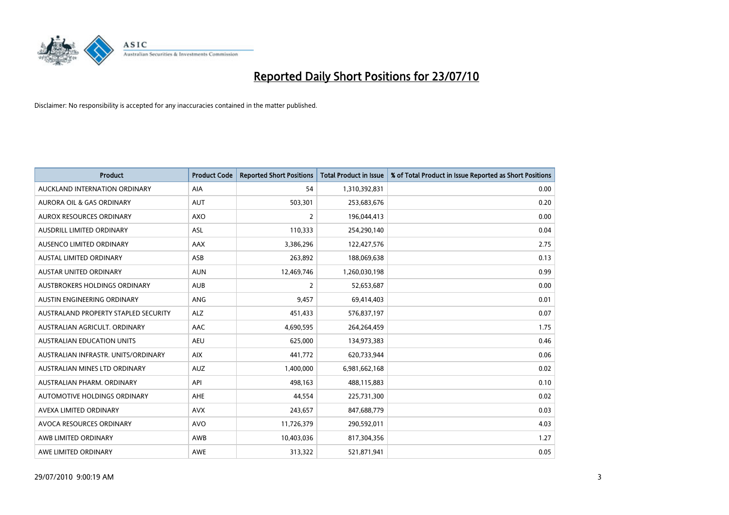

| <b>Product</b>                       | <b>Product Code</b> | <b>Reported Short Positions</b> | <b>Total Product in Issue</b> | % of Total Product in Issue Reported as Short Positions |
|--------------------------------------|---------------------|---------------------------------|-------------------------------|---------------------------------------------------------|
| AUCKLAND INTERNATION ORDINARY        | <b>AIA</b>          | 54                              | 1,310,392,831                 | 0.00                                                    |
| AURORA OIL & GAS ORDINARY            | <b>AUT</b>          | 503,301                         | 253,683,676                   | 0.20                                                    |
| AUROX RESOURCES ORDINARY             | <b>AXO</b>          | $\overline{2}$                  | 196,044,413                   | 0.00                                                    |
| AUSDRILL LIMITED ORDINARY            | <b>ASL</b>          | 110,333                         | 254,290,140                   | 0.04                                                    |
| AUSENCO LIMITED ORDINARY             | <b>AAX</b>          | 3,386,296                       | 122,427,576                   | 2.75                                                    |
| AUSTAL LIMITED ORDINARY              | ASB                 | 263,892                         | 188,069,638                   | 0.13                                                    |
| <b>AUSTAR UNITED ORDINARY</b>        | <b>AUN</b>          | 12,469,746                      | 1,260,030,198                 | 0.99                                                    |
| AUSTBROKERS HOLDINGS ORDINARY        | <b>AUB</b>          | $\overline{2}$                  | 52,653,687                    | 0.00                                                    |
| AUSTIN ENGINEERING ORDINARY          | <b>ANG</b>          | 9,457                           | 69,414,403                    | 0.01                                                    |
| AUSTRALAND PROPERTY STAPLED SECURITY | <b>ALZ</b>          | 451,433                         | 576,837,197                   | 0.07                                                    |
| AUSTRALIAN AGRICULT, ORDINARY        | AAC                 | 4,690,595                       | 264,264,459                   | 1.75                                                    |
| <b>AUSTRALIAN EDUCATION UNITS</b>    | <b>AEU</b>          | 625,000                         | 134,973,383                   | 0.46                                                    |
| AUSTRALIAN INFRASTR, UNITS/ORDINARY  | <b>AIX</b>          | 441,772                         | 620,733,944                   | 0.06                                                    |
| AUSTRALIAN MINES LTD ORDINARY        | <b>AUZ</b>          | 1,400,000                       | 6,981,662,168                 | 0.02                                                    |
| AUSTRALIAN PHARM, ORDINARY           | API                 | 498,163                         | 488,115,883                   | 0.10                                                    |
| AUTOMOTIVE HOLDINGS ORDINARY         | <b>AHE</b>          | 44,554                          | 225,731,300                   | 0.02                                                    |
| AVEXA LIMITED ORDINARY               | <b>AVX</b>          | 243,657                         | 847,688,779                   | 0.03                                                    |
| AVOCA RESOURCES ORDINARY             | <b>AVO</b>          | 11,726,379                      | 290,592,011                   | 4.03                                                    |
| AWB LIMITED ORDINARY                 | AWB                 | 10,403,036                      | 817,304,356                   | 1.27                                                    |
| AWE LIMITED ORDINARY                 | <b>AWE</b>          | 313,322                         | 521,871,941                   | 0.05                                                    |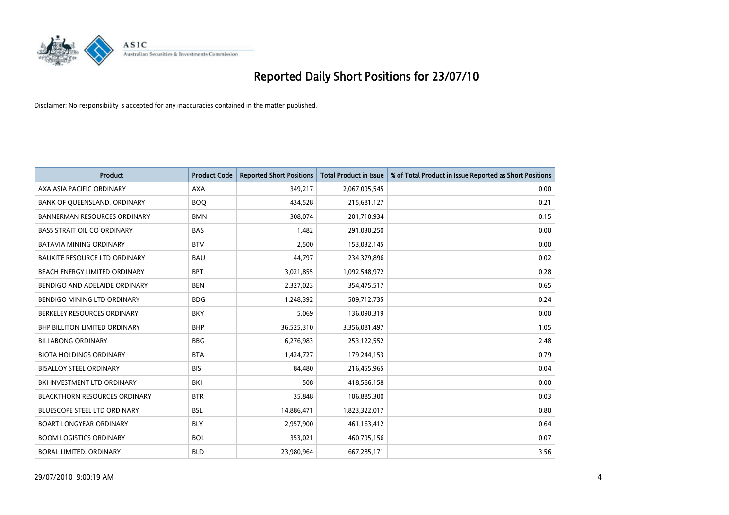

| <b>Product</b>                       | <b>Product Code</b> | <b>Reported Short Positions</b> | <b>Total Product in Issue</b> | % of Total Product in Issue Reported as Short Positions |
|--------------------------------------|---------------------|---------------------------------|-------------------------------|---------------------------------------------------------|
| AXA ASIA PACIFIC ORDINARY            | <b>AXA</b>          | 349,217                         | 2,067,095,545                 | 0.00                                                    |
| BANK OF QUEENSLAND. ORDINARY         | <b>BOO</b>          | 434,528                         | 215,681,127                   | 0.21                                                    |
| <b>BANNERMAN RESOURCES ORDINARY</b>  | <b>BMN</b>          | 308,074                         | 201,710,934                   | 0.15                                                    |
| <b>BASS STRAIT OIL CO ORDINARY</b>   | <b>BAS</b>          | 1,482                           | 291,030,250                   | 0.00                                                    |
| <b>BATAVIA MINING ORDINARY</b>       | <b>BTV</b>          | 2,500                           | 153,032,145                   | 0.00                                                    |
| <b>BAUXITE RESOURCE LTD ORDINARY</b> | <b>BAU</b>          | 44,797                          | 234,379,896                   | 0.02                                                    |
| BEACH ENERGY LIMITED ORDINARY        | <b>BPT</b>          | 3,021,855                       | 1,092,548,972                 | 0.28                                                    |
| BENDIGO AND ADELAIDE ORDINARY        | <b>BEN</b>          | 2,327,023                       | 354,475,517                   | 0.65                                                    |
| BENDIGO MINING LTD ORDINARY          | <b>BDG</b>          | 1,248,392                       | 509,712,735                   | 0.24                                                    |
| BERKELEY RESOURCES ORDINARY          | <b>BKY</b>          | 5,069                           | 136,090,319                   | 0.00                                                    |
| <b>BHP BILLITON LIMITED ORDINARY</b> | <b>BHP</b>          | 36,525,310                      | 3,356,081,497                 | 1.05                                                    |
| <b>BILLABONG ORDINARY</b>            | <b>BBG</b>          | 6,276,983                       | 253,122,552                   | 2.48                                                    |
| <b>BIOTA HOLDINGS ORDINARY</b>       | <b>BTA</b>          | 1,424,727                       | 179,244,153                   | 0.79                                                    |
| <b>BISALLOY STEEL ORDINARY</b>       | <b>BIS</b>          | 84,480                          | 216,455,965                   | 0.04                                                    |
| BKI INVESTMENT LTD ORDINARY          | BKI                 | 508                             | 418,566,158                   | 0.00                                                    |
| <b>BLACKTHORN RESOURCES ORDINARY</b> | <b>BTR</b>          | 35,848                          | 106,885,300                   | 0.03                                                    |
| <b>BLUESCOPE STEEL LTD ORDINARY</b>  | <b>BSL</b>          | 14,886,471                      | 1,823,322,017                 | 0.80                                                    |
| <b>BOART LONGYEAR ORDINARY</b>       | <b>BLY</b>          | 2,957,900                       | 461,163,412                   | 0.64                                                    |
| <b>BOOM LOGISTICS ORDINARY</b>       | <b>BOL</b>          | 353,021                         | 460,795,156                   | 0.07                                                    |
| BORAL LIMITED, ORDINARY              | <b>BLD</b>          | 23,980,964                      | 667,285,171                   | 3.56                                                    |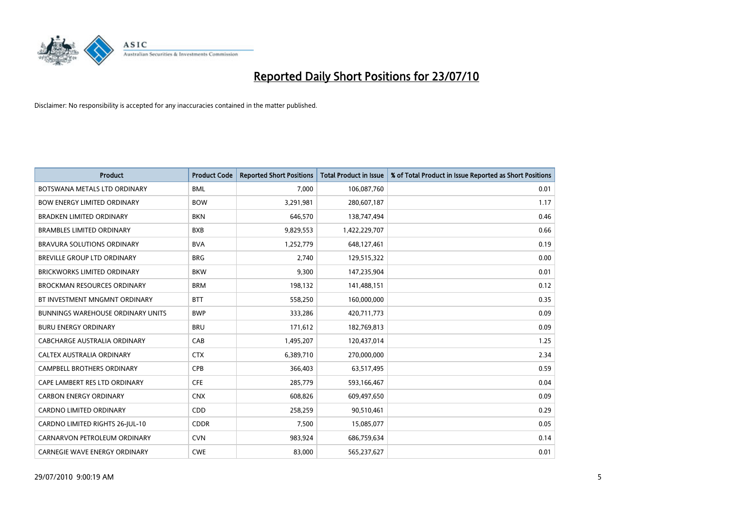

| <b>Product</b>                           | <b>Product Code</b> | <b>Reported Short Positions</b> | Total Product in Issue | % of Total Product in Issue Reported as Short Positions |
|------------------------------------------|---------------------|---------------------------------|------------------------|---------------------------------------------------------|
| BOTSWANA METALS LTD ORDINARY             | <b>BML</b>          | 7,000                           | 106,087,760            | 0.01                                                    |
| <b>BOW ENERGY LIMITED ORDINARY</b>       | <b>BOW</b>          | 3,291,981                       | 280,607,187            | 1.17                                                    |
| <b>BRADKEN LIMITED ORDINARY</b>          | <b>BKN</b>          | 646,570                         | 138,747,494            | 0.46                                                    |
| <b>BRAMBLES LIMITED ORDINARY</b>         | <b>BXB</b>          | 9,829,553                       | 1,422,229,707          | 0.66                                                    |
| <b>BRAVURA SOLUTIONS ORDINARY</b>        | <b>BVA</b>          | 1,252,779                       | 648,127,461            | 0.19                                                    |
| <b>BREVILLE GROUP LTD ORDINARY</b>       | <b>BRG</b>          | 2,740                           | 129,515,322            | 0.00                                                    |
| <b>BRICKWORKS LIMITED ORDINARY</b>       | <b>BKW</b>          | 9,300                           | 147,235,904            | 0.01                                                    |
| BROCKMAN RESOURCES ORDINARY              | <b>BRM</b>          | 198,132                         | 141,488,151            | 0.12                                                    |
| BT INVESTMENT MNGMNT ORDINARY            | <b>BTT</b>          | 558,250                         | 160,000,000            | 0.35                                                    |
| <b>BUNNINGS WAREHOUSE ORDINARY UNITS</b> | <b>BWP</b>          | 333,286                         | 420,711,773            | 0.09                                                    |
| <b>BURU ENERGY ORDINARY</b>              | <b>BRU</b>          | 171,612                         | 182,769,813            | 0.09                                                    |
| CABCHARGE AUSTRALIA ORDINARY             | CAB                 | 1,495,207                       | 120,437,014            | 1.25                                                    |
| CALTEX AUSTRALIA ORDINARY                | <b>CTX</b>          | 6,389,710                       | 270,000,000            | 2.34                                                    |
| <b>CAMPBELL BROTHERS ORDINARY</b>        | <b>CPB</b>          | 366,403                         | 63,517,495             | 0.59                                                    |
| CAPE LAMBERT RES LTD ORDINARY            | <b>CFE</b>          | 285,779                         | 593,166,467            | 0.04                                                    |
| <b>CARBON ENERGY ORDINARY</b>            | <b>CNX</b>          | 608,826                         | 609,497,650            | 0.09                                                    |
| CARDNO LIMITED ORDINARY                  | CDD                 | 258,259                         | 90,510,461             | 0.29                                                    |
| CARDNO LIMITED RIGHTS 26-JUL-10          | <b>CDDR</b>         | 7,500                           | 15,085,077             | 0.05                                                    |
| CARNARVON PETROLEUM ORDINARY             | <b>CVN</b>          | 983,924                         | 686,759,634            | 0.14                                                    |
| CARNEGIE WAVE ENERGY ORDINARY            | <b>CWE</b>          | 83,000                          | 565,237,627            | 0.01                                                    |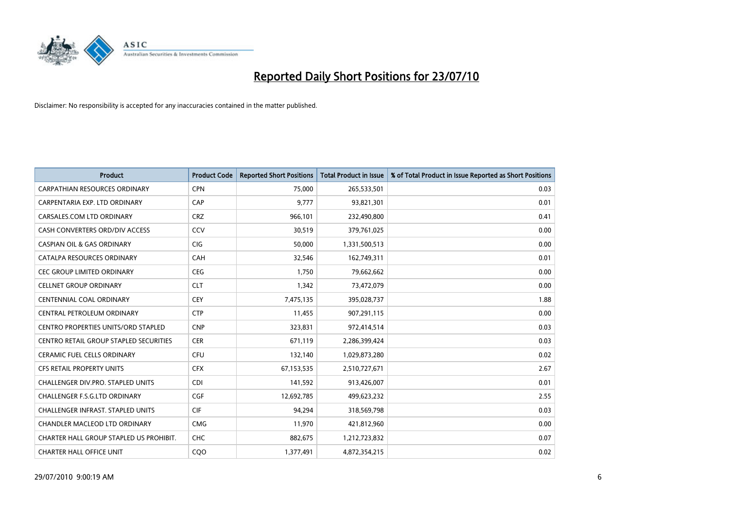

| <b>Product</b>                                | <b>Product Code</b> | <b>Reported Short Positions</b> | <b>Total Product in Issue</b> | % of Total Product in Issue Reported as Short Positions |
|-----------------------------------------------|---------------------|---------------------------------|-------------------------------|---------------------------------------------------------|
| <b>CARPATHIAN RESOURCES ORDINARY</b>          | <b>CPN</b>          | 75,000                          | 265,533,501                   | 0.03                                                    |
| CARPENTARIA EXP. LTD ORDINARY                 | CAP                 | 9.777                           | 93,821,301                    | 0.01                                                    |
| CARSALES.COM LTD ORDINARY                     | <b>CRZ</b>          | 966,101                         | 232,490,800                   | 0.41                                                    |
| CASH CONVERTERS ORD/DIV ACCESS                | CCV                 | 30,519                          | 379,761,025                   | 0.00                                                    |
| <b>CASPIAN OIL &amp; GAS ORDINARY</b>         | <b>CIG</b>          | 50.000                          | 1,331,500,513                 | 0.00                                                    |
| CATALPA RESOURCES ORDINARY                    | CAH                 | 32,546                          | 162,749,311                   | 0.01                                                    |
| <b>CEC GROUP LIMITED ORDINARY</b>             | <b>CEG</b>          | 1.750                           | 79,662,662                    | 0.00                                                    |
| <b>CELLNET GROUP ORDINARY</b>                 | <b>CLT</b>          | 1,342                           | 73,472,079                    | 0.00                                                    |
| <b>CENTENNIAL COAL ORDINARY</b>               | CEY                 | 7,475,135                       | 395,028,737                   | 1.88                                                    |
| CENTRAL PETROLEUM ORDINARY                    | <b>CTP</b>          | 11,455                          | 907,291,115                   | 0.00                                                    |
| <b>CENTRO PROPERTIES UNITS/ORD STAPLED</b>    | <b>CNP</b>          | 323,831                         | 972,414,514                   | 0.03                                                    |
| <b>CENTRO RETAIL GROUP STAPLED SECURITIES</b> | <b>CER</b>          | 671,119                         | 2,286,399,424                 | 0.03                                                    |
| <b>CERAMIC FUEL CELLS ORDINARY</b>            | CFU                 | 132,140                         | 1,029,873,280                 | 0.02                                                    |
| <b>CFS RETAIL PROPERTY UNITS</b>              | <b>CFX</b>          | 67,153,535                      | 2,510,727,671                 | 2.67                                                    |
| <b>CHALLENGER DIV.PRO. STAPLED UNITS</b>      | <b>CDI</b>          | 141,592                         | 913,426,007                   | 0.01                                                    |
| <b>CHALLENGER F.S.G.LTD ORDINARY</b>          | CGF                 | 12,692,785                      | 499,623,232                   | 2.55                                                    |
| <b>CHALLENGER INFRAST, STAPLED UNITS</b>      | <b>CIF</b>          | 94,294                          | 318,569,798                   | 0.03                                                    |
| CHANDLER MACLEOD LTD ORDINARY                 | <b>CMG</b>          | 11,970                          | 421,812,960                   | 0.00                                                    |
| CHARTER HALL GROUP STAPLED US PROHIBIT.       | <b>CHC</b>          | 882,675                         | 1,212,723,832                 | 0.07                                                    |
| <b>CHARTER HALL OFFICE UNIT</b>               | COO                 | 1,377,491                       | 4,872,354,215                 | 0.02                                                    |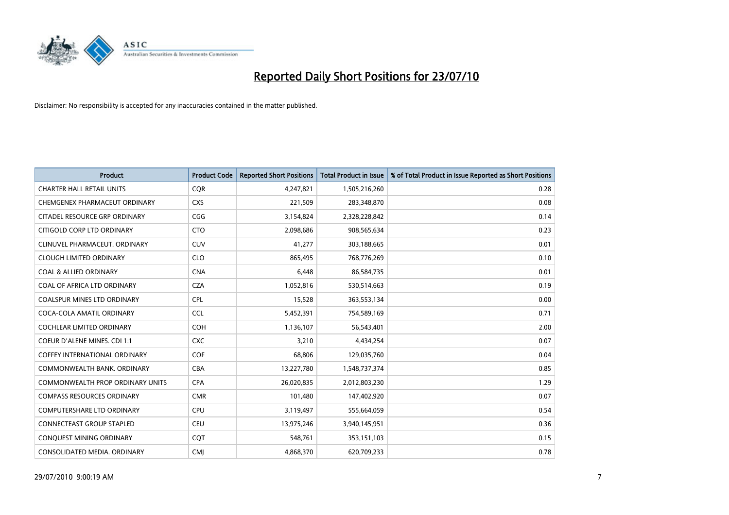

| <b>Product</b>                       | <b>Product Code</b> | <b>Reported Short Positions</b> | <b>Total Product in Issue</b> | % of Total Product in Issue Reported as Short Positions |
|--------------------------------------|---------------------|---------------------------------|-------------------------------|---------------------------------------------------------|
| <b>CHARTER HALL RETAIL UNITS</b>     | <b>CQR</b>          | 4,247,821                       | 1,505,216,260                 | 0.28                                                    |
| CHEMGENEX PHARMACEUT ORDINARY        | <b>CXS</b>          | 221,509                         | 283,348,870                   | 0.08                                                    |
| CITADEL RESOURCE GRP ORDINARY        | CGG                 | 3,154,824                       | 2,328,228,842                 | 0.14                                                    |
| CITIGOLD CORP LTD ORDINARY           | <b>CTO</b>          | 2,098,686                       | 908,565,634                   | 0.23                                                    |
| CLINUVEL PHARMACEUT, ORDINARY        | <b>CUV</b>          | 41,277                          | 303,188,665                   | 0.01                                                    |
| <b>CLOUGH LIMITED ORDINARY</b>       | <b>CLO</b>          | 865.495                         | 768,776,269                   | 0.10                                                    |
| <b>COAL &amp; ALLIED ORDINARY</b>    | <b>CNA</b>          | 6,448                           | 86,584,735                    | 0.01                                                    |
| COAL OF AFRICA LTD ORDINARY          | <b>CZA</b>          | 1,052,816                       | 530,514,663                   | 0.19                                                    |
| COALSPUR MINES LTD ORDINARY          | <b>CPL</b>          | 15,528                          | 363,553,134                   | 0.00                                                    |
| COCA-COLA AMATIL ORDINARY            | <b>CCL</b>          | 5,452,391                       | 754,589,169                   | 0.71                                                    |
| <b>COCHLEAR LIMITED ORDINARY</b>     | <b>COH</b>          | 1,136,107                       | 56,543,401                    | 2.00                                                    |
| COEUR D'ALENE MINES. CDI 1:1         | <b>CXC</b>          | 3,210                           | 4,434,254                     | 0.07                                                    |
| <b>COFFEY INTERNATIONAL ORDINARY</b> | <b>COF</b>          | 68.806                          | 129,035,760                   | 0.04                                                    |
| COMMONWEALTH BANK, ORDINARY          | CBA                 | 13,227,780                      | 1,548,737,374                 | 0.85                                                    |
| COMMONWEALTH PROP ORDINARY UNITS     | <b>CPA</b>          | 26,020,835                      | 2,012,803,230                 | 1.29                                                    |
| <b>COMPASS RESOURCES ORDINARY</b>    | <b>CMR</b>          | 101,480                         | 147,402,920                   | 0.07                                                    |
| <b>COMPUTERSHARE LTD ORDINARY</b>    | <b>CPU</b>          | 3,119,497                       | 555,664,059                   | 0.54                                                    |
| CONNECTEAST GROUP STAPLED            | <b>CEU</b>          | 13,975,246                      | 3,940,145,951                 | 0.36                                                    |
| CONQUEST MINING ORDINARY             | <b>COT</b>          | 548,761                         | 353,151,103                   | 0.15                                                    |
| CONSOLIDATED MEDIA. ORDINARY         | <b>CMI</b>          | 4,868,370                       | 620,709,233                   | 0.78                                                    |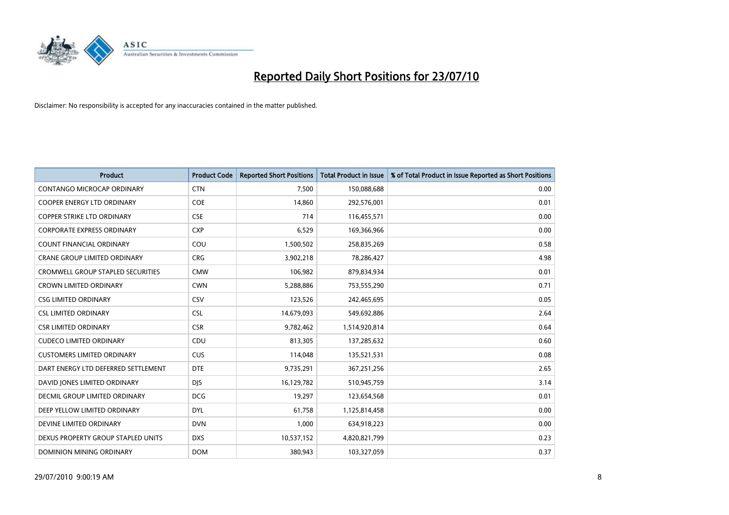

| <b>Product</b>                           | <b>Product Code</b> | <b>Reported Short Positions</b> | Total Product in Issue | % of Total Product in Issue Reported as Short Positions |
|------------------------------------------|---------------------|---------------------------------|------------------------|---------------------------------------------------------|
| <b>CONTANGO MICROCAP ORDINARY</b>        | <b>CTN</b>          | 7,500                           | 150,088,688            | 0.00                                                    |
| COOPER ENERGY LTD ORDINARY               | <b>COE</b>          | 14,860                          | 292,576,001            | 0.01                                                    |
| <b>COPPER STRIKE LTD ORDINARY</b>        | <b>CSE</b>          | 714                             | 116,455,571            | 0.00                                                    |
| <b>CORPORATE EXPRESS ORDINARY</b>        | <b>CXP</b>          | 6,529                           | 169,366,966            | 0.00                                                    |
| <b>COUNT FINANCIAL ORDINARY</b>          | COU                 | 1,500,502                       | 258,835,269            | 0.58                                                    |
| <b>CRANE GROUP LIMITED ORDINARY</b>      | <b>CRG</b>          | 3,902,218                       | 78,286,427             | 4.98                                                    |
| <b>CROMWELL GROUP STAPLED SECURITIES</b> | <b>CMW</b>          | 106,982                         | 879,834,934            | 0.01                                                    |
| <b>CROWN LIMITED ORDINARY</b>            | <b>CWN</b>          | 5,288,886                       | 753,555,290            | 0.71                                                    |
| <b>CSG LIMITED ORDINARY</b>              | CSV                 | 123,526                         | 242,465,695            | 0.05                                                    |
| <b>CSL LIMITED ORDINARY</b>              | <b>CSL</b>          | 14,679,093                      | 549,692,886            | 2.64                                                    |
| <b>CSR LIMITED ORDINARY</b>              | <b>CSR</b>          | 9,782,462                       | 1,514,920,814          | 0.64                                                    |
| <b>CUDECO LIMITED ORDINARY</b>           | CDU                 | 813,305                         | 137,285,632            | 0.60                                                    |
| <b>CUSTOMERS LIMITED ORDINARY</b>        | CUS                 | 114,048                         | 135,521,531            | 0.08                                                    |
| DART ENERGY LTD DEFERRED SETTLEMENT      | <b>DTE</b>          | 9,735,291                       | 367,251,256            | 2.65                                                    |
| DAVID JONES LIMITED ORDINARY             | <b>DJS</b>          | 16,129,782                      | 510,945,759            | 3.14                                                    |
| DECMIL GROUP LIMITED ORDINARY            | <b>DCG</b>          | 19,297                          | 123,654,568            | 0.01                                                    |
| DEEP YELLOW LIMITED ORDINARY             | <b>DYL</b>          | 61,758                          | 1,125,814,458          | 0.00                                                    |
| DEVINE LIMITED ORDINARY                  | <b>DVN</b>          | 1,000                           | 634,918,223            | 0.00                                                    |
| DEXUS PROPERTY GROUP STAPLED UNITS       | <b>DXS</b>          | 10,537,152                      | 4,820,821,799          | 0.23                                                    |
| DOMINION MINING ORDINARY                 | <b>DOM</b>          | 380,943                         | 103,327,059            | 0.37                                                    |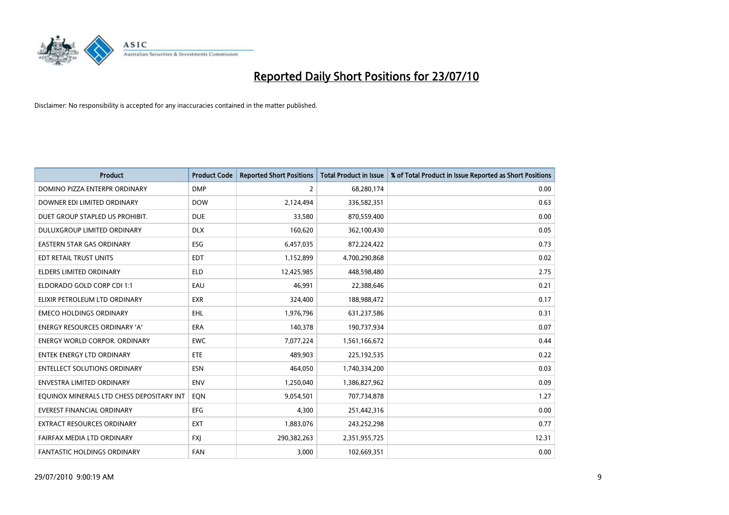

| <b>Product</b>                            | <b>Product Code</b> | <b>Reported Short Positions</b> | <b>Total Product in Issue</b> | % of Total Product in Issue Reported as Short Positions |
|-------------------------------------------|---------------------|---------------------------------|-------------------------------|---------------------------------------------------------|
| DOMINO PIZZA ENTERPR ORDINARY             | <b>DMP</b>          | 2                               | 68,280,174                    | 0.00                                                    |
| DOWNER EDI LIMITED ORDINARY               | <b>DOW</b>          | 2,124,494                       | 336,582,351                   | 0.63                                                    |
| DUET GROUP STAPLED US PROHIBIT.           | <b>DUE</b>          | 33.580                          | 870,559,400                   | 0.00                                                    |
| DULUXGROUP LIMITED ORDINARY               | <b>DLX</b>          | 160,620                         | 362,100,430                   | 0.05                                                    |
| <b>EASTERN STAR GAS ORDINARY</b>          | <b>ESG</b>          | 6,457,035                       | 872,224,422                   | 0.73                                                    |
| EDT RETAIL TRUST UNITS                    | <b>EDT</b>          | 1,152,899                       | 4,700,290,868                 | 0.02                                                    |
| ELDERS LIMITED ORDINARY                   | <b>ELD</b>          | 12,425,985                      | 448,598,480                   | 2.75                                                    |
| ELDORADO GOLD CORP CDI 1:1                | EAU                 | 46,991                          | 22,388,646                    | 0.21                                                    |
| ELIXIR PETROLEUM LTD ORDINARY             | <b>EXR</b>          | 324,400                         | 188,988,472                   | 0.17                                                    |
| <b>EMECO HOLDINGS ORDINARY</b>            | <b>EHL</b>          | 1,976,796                       | 631,237,586                   | 0.31                                                    |
| ENERGY RESOURCES ORDINARY 'A'             | <b>ERA</b>          | 140,378                         | 190,737,934                   | 0.07                                                    |
| <b>ENERGY WORLD CORPOR, ORDINARY</b>      | <b>EWC</b>          | 7,077,224                       | 1,561,166,672                 | 0.44                                                    |
| ENTEK ENERGY LTD ORDINARY                 | <b>ETE</b>          | 489,903                         | 225,192,535                   | 0.22                                                    |
| <b>ENTELLECT SOLUTIONS ORDINARY</b>       | ESN                 | 464,050                         | 1,740,334,200                 | 0.03                                                    |
| <b>ENVESTRA LIMITED ORDINARY</b>          | <b>ENV</b>          | 1,250,040                       | 1,386,827,962                 | 0.09                                                    |
| EQUINOX MINERALS LTD CHESS DEPOSITARY INT | EON                 | 9,054,501                       | 707,734,878                   | 1.27                                                    |
| EVEREST FINANCIAL ORDINARY                | EFG                 | 4,300                           | 251,442,316                   | 0.00                                                    |
| EXTRACT RESOURCES ORDINARY                | <b>EXT</b>          | 1,883,076                       | 243,252,298                   | 0.77                                                    |
| FAIRFAX MEDIA LTD ORDINARY                | <b>FXI</b>          | 290,382,263                     | 2,351,955,725                 | 12.31                                                   |
| FANTASTIC HOLDINGS ORDINARY               | FAN                 | 3,000                           | 102,669,351                   | 0.00                                                    |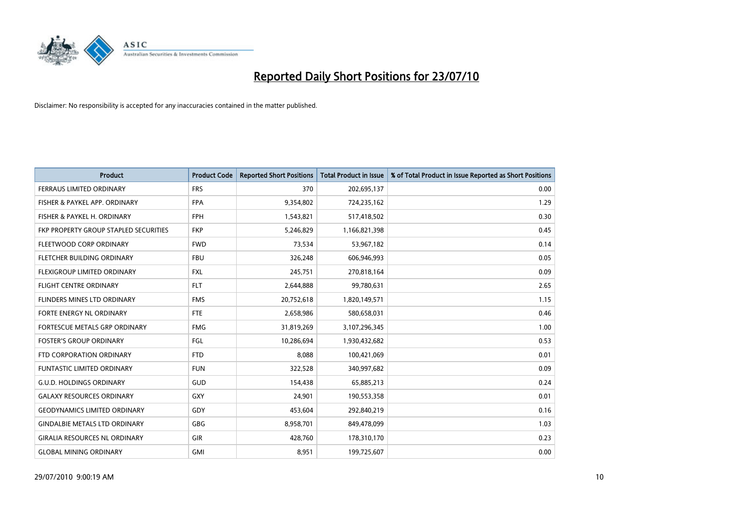

| <b>Product</b>                        | <b>Product Code</b> | <b>Reported Short Positions</b> | <b>Total Product in Issue</b> | % of Total Product in Issue Reported as Short Positions |
|---------------------------------------|---------------------|---------------------------------|-------------------------------|---------------------------------------------------------|
| <b>FERRAUS LIMITED ORDINARY</b>       | <b>FRS</b>          | 370                             | 202,695,137                   | 0.00                                                    |
| FISHER & PAYKEL APP. ORDINARY         | <b>FPA</b>          | 9,354,802                       | 724,235,162                   | 1.29                                                    |
| FISHER & PAYKEL H. ORDINARY           | <b>FPH</b>          | 1,543,821                       | 517,418,502                   | 0.30                                                    |
| FKP PROPERTY GROUP STAPLED SECURITIES | <b>FKP</b>          | 5,246,829                       | 1,166,821,398                 | 0.45                                                    |
| FLEETWOOD CORP ORDINARY               | <b>FWD</b>          | 73,534                          | 53,967,182                    | 0.14                                                    |
| FLETCHER BUILDING ORDINARY            | <b>FBU</b>          | 326,248                         | 606,946,993                   | 0.05                                                    |
| <b>FLEXIGROUP LIMITED ORDINARY</b>    | <b>FXL</b>          | 245,751                         | 270,818,164                   | 0.09                                                    |
| FLIGHT CENTRE ORDINARY                | <b>FLT</b>          | 2,644,888                       | 99,780,631                    | 2.65                                                    |
| FLINDERS MINES LTD ORDINARY           | <b>FMS</b>          | 20,752,618                      | 1,820,149,571                 | 1.15                                                    |
| <b>FORTE ENERGY NL ORDINARY</b>       | <b>FTE</b>          | 2,658,986                       | 580,658,031                   | 0.46                                                    |
| FORTESCUE METALS GRP ORDINARY         | <b>FMG</b>          | 31,819,269                      | 3,107,296,345                 | 1.00                                                    |
| <b>FOSTER'S GROUP ORDINARY</b>        | FGL                 | 10,286,694                      | 1,930,432,682                 | 0.53                                                    |
| FTD CORPORATION ORDINARY              | <b>FTD</b>          | 8,088                           | 100,421,069                   | 0.01                                                    |
| <b>FUNTASTIC LIMITED ORDINARY</b>     | <b>FUN</b>          | 322,528                         | 340,997,682                   | 0.09                                                    |
| <b>G.U.D. HOLDINGS ORDINARY</b>       | <b>GUD</b>          | 154,438                         | 65,885,213                    | 0.24                                                    |
| <b>GALAXY RESOURCES ORDINARY</b>      | <b>GXY</b>          | 24,901                          | 190,553,358                   | 0.01                                                    |
| <b>GEODYNAMICS LIMITED ORDINARY</b>   | GDY                 | 453,604                         | 292,840,219                   | 0.16                                                    |
| <b>GINDALBIE METALS LTD ORDINARY</b>  | <b>GBG</b>          | 8,958,701                       | 849,478,099                   | 1.03                                                    |
| <b>GIRALIA RESOURCES NL ORDINARY</b>  | GIR                 | 428,760                         | 178,310,170                   | 0.23                                                    |
| <b>GLOBAL MINING ORDINARY</b>         | <b>GMI</b>          | 8,951                           | 199,725,607                   | 0.00                                                    |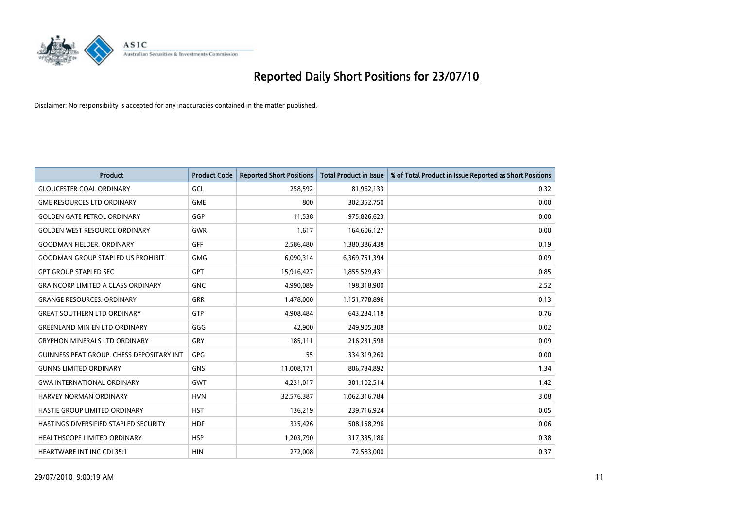

| <b>Product</b>                            | <b>Product Code</b> | <b>Reported Short Positions</b> | <b>Total Product in Issue</b> | % of Total Product in Issue Reported as Short Positions |
|-------------------------------------------|---------------------|---------------------------------|-------------------------------|---------------------------------------------------------|
| <b>GLOUCESTER COAL ORDINARY</b>           | GCL                 | 258,592                         | 81,962,133                    | 0.32                                                    |
| <b>GME RESOURCES LTD ORDINARY</b>         | <b>GME</b>          | 800                             | 302,352,750                   | 0.00                                                    |
| <b>GOLDEN GATE PETROL ORDINARY</b>        | GGP                 | 11,538                          | 975,826,623                   | 0.00                                                    |
| <b>GOLDEN WEST RESOURCE ORDINARY</b>      | <b>GWR</b>          | 1,617                           | 164,606,127                   | 0.00                                                    |
| <b>GOODMAN FIELDER, ORDINARY</b>          | <b>GFF</b>          | 2,586,480                       | 1,380,386,438                 | 0.19                                                    |
| <b>GOODMAN GROUP STAPLED US PROHIBIT.</b> | <b>GMG</b>          | 6,090,314                       | 6,369,751,394                 | 0.09                                                    |
| <b>GPT GROUP STAPLED SEC.</b>             | <b>GPT</b>          | 15,916,427                      | 1,855,529,431                 | 0.85                                                    |
| <b>GRAINCORP LIMITED A CLASS ORDINARY</b> | <b>GNC</b>          | 4,990,089                       | 198,318,900                   | 2.52                                                    |
| <b>GRANGE RESOURCES, ORDINARY</b>         | <b>GRR</b>          | 1,478,000                       | 1,151,778,896                 | 0.13                                                    |
| <b>GREAT SOUTHERN LTD ORDINARY</b>        | <b>GTP</b>          | 4,908,484                       | 643,234,118                   | 0.76                                                    |
| <b>GREENLAND MIN EN LTD ORDINARY</b>      | GGG                 | 42,900                          | 249,905,308                   | 0.02                                                    |
| <b>GRYPHON MINERALS LTD ORDINARY</b>      | GRY                 | 185,111                         | 216,231,598                   | 0.09                                                    |
| GUINNESS PEAT GROUP. CHESS DEPOSITARY INT | GPG                 | 55                              | 334,319,260                   | 0.00                                                    |
| <b>GUNNS LIMITED ORDINARY</b>             | <b>GNS</b>          | 11,008,171                      | 806,734,892                   | 1.34                                                    |
| <b>GWA INTERNATIONAL ORDINARY</b>         | <b>GWT</b>          | 4,231,017                       | 301,102,514                   | 1.42                                                    |
| <b>HARVEY NORMAN ORDINARY</b>             | <b>HVN</b>          | 32,576,387                      | 1,062,316,784                 | 3.08                                                    |
| HASTIE GROUP LIMITED ORDINARY             | <b>HST</b>          | 136,219                         | 239,716,924                   | 0.05                                                    |
| HASTINGS DIVERSIFIED STAPLED SECURITY     | <b>HDF</b>          | 335,426                         | 508,158,296                   | 0.06                                                    |
| HEALTHSCOPE LIMITED ORDINARY              | <b>HSP</b>          | 1,203,790                       | 317,335,186                   | 0.38                                                    |
| <b>HEARTWARE INT INC CDI 35:1</b>         | <b>HIN</b>          | 272,008                         | 72,583,000                    | 0.37                                                    |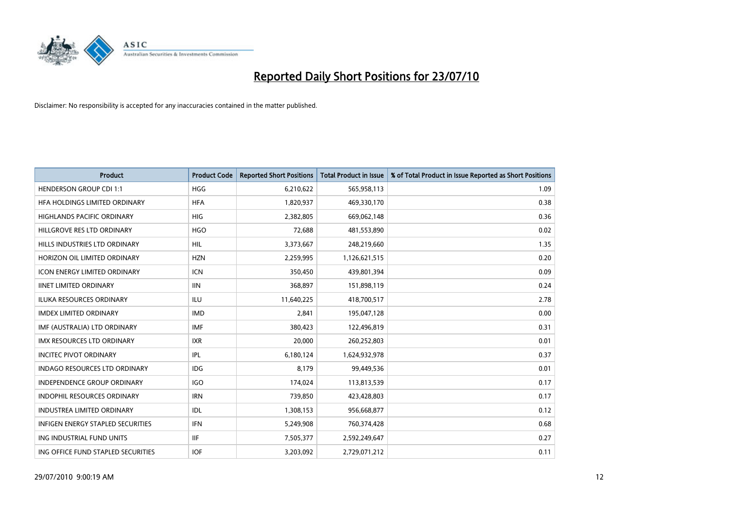

| <b>Product</b>                       | <b>Product Code</b> | <b>Reported Short Positions</b> | <b>Total Product in Issue</b> | % of Total Product in Issue Reported as Short Positions |
|--------------------------------------|---------------------|---------------------------------|-------------------------------|---------------------------------------------------------|
| <b>HENDERSON GROUP CDI 1:1</b>       | <b>HGG</b>          | 6,210,622                       | 565,958,113                   | 1.09                                                    |
| HFA HOLDINGS LIMITED ORDINARY        | <b>HFA</b>          | 1,820,937                       | 469,330,170                   | 0.38                                                    |
| <b>HIGHLANDS PACIFIC ORDINARY</b>    | <b>HIG</b>          | 2,382,805                       | 669,062,148                   | 0.36                                                    |
| HILLGROVE RES LTD ORDINARY           | <b>HGO</b>          | 72,688                          | 481,553,890                   | 0.02                                                    |
| HILLS INDUSTRIES LTD ORDINARY        | <b>HIL</b>          | 3,373,667                       | 248,219,660                   | 1.35                                                    |
| HORIZON OIL LIMITED ORDINARY         | <b>HZN</b>          | 2,259,995                       | 1,126,621,515                 | 0.20                                                    |
| <b>ICON ENERGY LIMITED ORDINARY</b>  | <b>ICN</b>          | 350.450                         | 439,801,394                   | 0.09                                                    |
| <b>IINET LIMITED ORDINARY</b>        | <b>IIN</b>          | 368,897                         | 151,898,119                   | 0.24                                                    |
| ILUKA RESOURCES ORDINARY             | ILU                 | 11,640,225                      | 418,700,517                   | 2.78                                                    |
| <b>IMDEX LIMITED ORDINARY</b>        | <b>IMD</b>          | 2,841                           | 195,047,128                   | 0.00                                                    |
| IMF (AUSTRALIA) LTD ORDINARY         | <b>IMF</b>          | 380,423                         | 122,496,819                   | 0.31                                                    |
| <b>IMX RESOURCES LTD ORDINARY</b>    | <b>IXR</b>          | 20,000                          | 260,252,803                   | 0.01                                                    |
| <b>INCITEC PIVOT ORDINARY</b>        | <b>IPL</b>          | 6,180,124                       | 1,624,932,978                 | 0.37                                                    |
| <b>INDAGO RESOURCES LTD ORDINARY</b> | IDG                 | 8.179                           | 99,449,536                    | 0.01                                                    |
| <b>INDEPENDENCE GROUP ORDINARY</b>   | <b>IGO</b>          | 174,024                         | 113,813,539                   | 0.17                                                    |
| <b>INDOPHIL RESOURCES ORDINARY</b>   | <b>IRN</b>          | 739,850                         | 423,428,803                   | 0.17                                                    |
| <b>INDUSTREA LIMITED ORDINARY</b>    | IDL                 | 1,308,153                       | 956,668,877                   | 0.12                                                    |
| INFIGEN ENERGY STAPLED SECURITIES    | <b>IFN</b>          | 5,249,908                       | 760,374,428                   | 0.68                                                    |
| ING INDUSTRIAL FUND UNITS            | <b>IIF</b>          | 7,505,377                       | 2,592,249,647                 | 0.27                                                    |
| ING OFFICE FUND STAPLED SECURITIES   | <b>IOF</b>          | 3,203,092                       | 2,729,071,212                 | 0.11                                                    |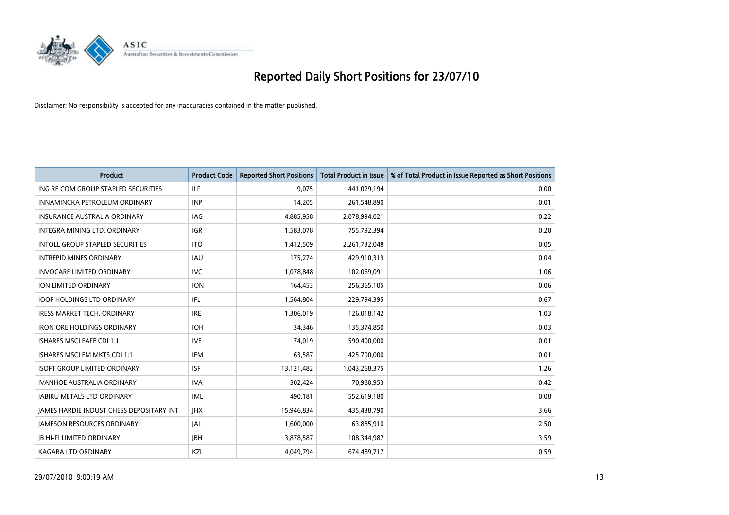

| <b>Product</b>                                  | <b>Product Code</b> | <b>Reported Short Positions</b> | <b>Total Product in Issue</b> | % of Total Product in Issue Reported as Short Positions |
|-------------------------------------------------|---------------------|---------------------------------|-------------------------------|---------------------------------------------------------|
| ING RE COM GROUP STAPLED SECURITIES             | <b>ILF</b>          | 9,075                           | 441,029,194                   | 0.00                                                    |
| INNAMINCKA PETROLEUM ORDINARY                   | <b>INP</b>          | 14,205                          | 261,548,890                   | 0.01                                                    |
| <b>INSURANCE AUSTRALIA ORDINARY</b>             | <b>IAG</b>          | 4,885,958                       | 2,078,994,021                 | 0.22                                                    |
| INTEGRA MINING LTD. ORDINARY                    | <b>IGR</b>          | 1,583,078                       | 755,792,394                   | 0.20                                                    |
| <b>INTOLL GROUP STAPLED SECURITIES</b>          | <b>ITO</b>          | 1,412,509                       | 2,261,732,048                 | 0.05                                                    |
| <b>INTREPID MINES ORDINARY</b>                  | <b>IAU</b>          | 175,274                         | 429,910,319                   | 0.04                                                    |
| <b>INVOCARE LIMITED ORDINARY</b>                | <b>IVC</b>          | 1,078,848                       | 102,069,091                   | 1.06                                                    |
| <b>ION LIMITED ORDINARY</b>                     | <b>ION</b>          | 164,453                         | 256,365,105                   | 0.06                                                    |
| <b>IOOF HOLDINGS LTD ORDINARY</b>               | IFL.                | 1,564,804                       | 229,794,395                   | 0.67                                                    |
| <b>IRESS MARKET TECH. ORDINARY</b>              | <b>IRE</b>          | 1,306,019                       | 126,018,142                   | 1.03                                                    |
| <b>IRON ORE HOLDINGS ORDINARY</b>               | <b>IOH</b>          | 34,346                          | 135,374,850                   | 0.03                                                    |
| <b>ISHARES MSCI EAFE CDI 1:1</b>                | <b>IVE</b>          | 74,019                          | 590,400,000                   | 0.01                                                    |
| ISHARES MSCI EM MKTS CDI 1:1                    | <b>IEM</b>          | 63,587                          | 425,700,000                   | 0.01                                                    |
| <b>ISOFT GROUP LIMITED ORDINARY</b>             | <b>ISF</b>          | 13,121,482                      | 1,043,268,375                 | 1.26                                                    |
| <b>IVANHOE AUSTRALIA ORDINARY</b>               | <b>IVA</b>          | 302,424                         | 70,980,953                    | 0.42                                                    |
| <b>JABIRU METALS LTD ORDINARY</b>               | <b>JML</b>          | 490,181                         | 552,619,180                   | 0.08                                                    |
| <b>JAMES HARDIE INDUST CHESS DEPOSITARY INT</b> | <b>IHX</b>          | 15,946,834                      | 435,438,790                   | 3.66                                                    |
| JAMESON RESOURCES ORDINARY                      | <b>JAL</b>          | 1,600,000                       | 63,885,910                    | 2.50                                                    |
| <b>IB HI-FI LIMITED ORDINARY</b>                | <b>IBH</b>          | 3,878,587                       | 108,344,987                   | 3.59                                                    |
| <b>KAGARA LTD ORDINARY</b>                      | KZL                 | 4.049.794                       | 674,489,717                   | 0.59                                                    |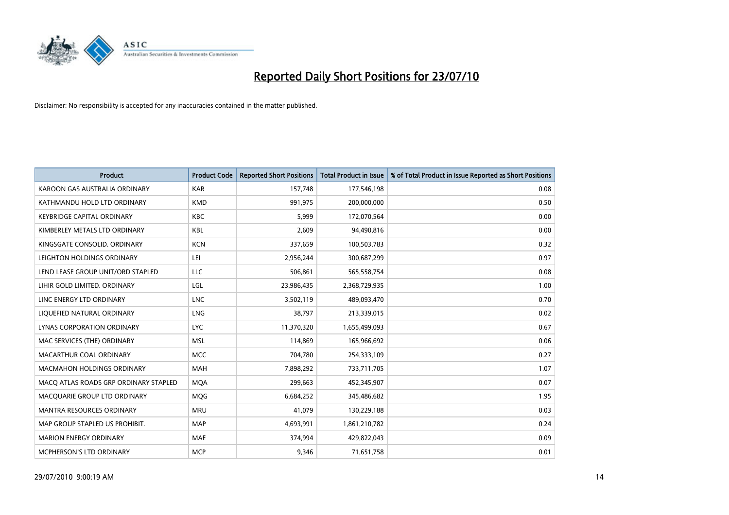

| <b>Product</b>                        | <b>Product Code</b> | <b>Reported Short Positions</b> | <b>Total Product in Issue</b> | % of Total Product in Issue Reported as Short Positions |
|---------------------------------------|---------------------|---------------------------------|-------------------------------|---------------------------------------------------------|
| KAROON GAS AUSTRALIA ORDINARY         | <b>KAR</b>          | 157,748                         | 177,546,198                   | 0.08                                                    |
| KATHMANDU HOLD LTD ORDINARY           | <b>KMD</b>          | 991,975                         | 200,000,000                   | 0.50                                                    |
| <b>KEYBRIDGE CAPITAL ORDINARY</b>     | <b>KBC</b>          | 5.999                           | 172,070,564                   | 0.00                                                    |
| KIMBERLEY METALS LTD ORDINARY         | <b>KBL</b>          | 2,609                           | 94,490,816                    | 0.00                                                    |
| KINGSGATE CONSOLID, ORDINARY          | <b>KCN</b>          | 337,659                         | 100,503,783                   | 0.32                                                    |
| LEIGHTON HOLDINGS ORDINARY            | LEI                 | 2,956,244                       | 300,687,299                   | 0.97                                                    |
| LEND LEASE GROUP UNIT/ORD STAPLED     | LLC                 | 506,861                         | 565,558,754                   | 0.08                                                    |
| LIHIR GOLD LIMITED. ORDINARY          | LGL                 | 23,986,435                      | 2,368,729,935                 | 1.00                                                    |
| LINC ENERGY LTD ORDINARY              | <b>LNC</b>          | 3,502,119                       | 489,093,470                   | 0.70                                                    |
| LIQUEFIED NATURAL ORDINARY            | <b>LNG</b>          | 38,797                          | 213,339,015                   | 0.02                                                    |
| LYNAS CORPORATION ORDINARY            | <b>LYC</b>          | 11,370,320                      | 1,655,499,093                 | 0.67                                                    |
| MAC SERVICES (THE) ORDINARY           | <b>MSL</b>          | 114,869                         | 165,966,692                   | 0.06                                                    |
| MACARTHUR COAL ORDINARY               | <b>MCC</b>          | 704,780                         | 254,333,109                   | 0.27                                                    |
| <b>MACMAHON HOLDINGS ORDINARY</b>     | MAH                 | 7,898,292                       | 733,711,705                   | 1.07                                                    |
| MACO ATLAS ROADS GRP ORDINARY STAPLED | <b>MOA</b>          | 299,663                         | 452,345,907                   | 0.07                                                    |
| MACQUARIE GROUP LTD ORDINARY          | <b>MOG</b>          | 6,684,252                       | 345,486,682                   | 1.95                                                    |
| MANTRA RESOURCES ORDINARY             | <b>MRU</b>          | 41,079                          | 130,229,188                   | 0.03                                                    |
| MAP GROUP STAPLED US PROHIBIT.        | <b>MAP</b>          | 4,693,991                       | 1,861,210,782                 | 0.24                                                    |
| <b>MARION ENERGY ORDINARY</b>         | <b>MAE</b>          | 374,994                         | 429,822,043                   | 0.09                                                    |
| MCPHERSON'S LTD ORDINARY              | <b>MCP</b>          | 9,346                           | 71,651,758                    | 0.01                                                    |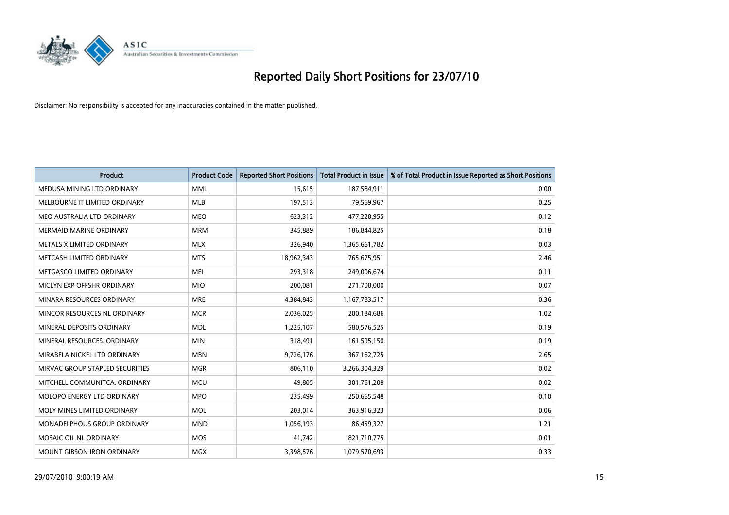

| <b>Product</b>                    | <b>Product Code</b> | <b>Reported Short Positions</b> | Total Product in Issue | % of Total Product in Issue Reported as Short Positions |
|-----------------------------------|---------------------|---------------------------------|------------------------|---------------------------------------------------------|
| MEDUSA MINING LTD ORDINARY        | <b>MML</b>          | 15,615                          | 187,584,911            | 0.00                                                    |
| MELBOURNE IT LIMITED ORDINARY     | MLB                 | 197,513                         | 79,569,967             | 0.25                                                    |
| MEO AUSTRALIA LTD ORDINARY        | <b>MEO</b>          | 623,312                         | 477,220,955            | 0.12                                                    |
| MERMAID MARINE ORDINARY           | <b>MRM</b>          | 345,889                         | 186,844,825            | 0.18                                                    |
| METALS X LIMITED ORDINARY         | <b>MLX</b>          | 326,940                         | 1,365,661,782          | 0.03                                                    |
| METCASH LIMITED ORDINARY          | <b>MTS</b>          | 18,962,343                      | 765,675,951            | 2.46                                                    |
| METGASCO LIMITED ORDINARY         | <b>MEL</b>          | 293,318                         | 249,006,674            | 0.11                                                    |
| MICLYN EXP OFFSHR ORDINARY        | <b>MIO</b>          | 200,081                         | 271,700,000            | 0.07                                                    |
| MINARA RESOURCES ORDINARY         | <b>MRE</b>          | 4,384,843                       | 1,167,783,517          | 0.36                                                    |
| MINCOR RESOURCES NL ORDINARY      | <b>MCR</b>          | 2,036,025                       | 200,184,686            | 1.02                                                    |
| MINERAL DEPOSITS ORDINARY         | <b>MDL</b>          | 1,225,107                       | 580,576,525            | 0.19                                                    |
| MINERAL RESOURCES, ORDINARY       | <b>MIN</b>          | 318,491                         | 161,595,150            | 0.19                                                    |
| MIRABELA NICKEL LTD ORDINARY      | <b>MBN</b>          | 9,726,176                       | 367, 162, 725          | 2.65                                                    |
| MIRVAC GROUP STAPLED SECURITIES   | <b>MGR</b>          | 806,110                         | 3,266,304,329          | 0.02                                                    |
| MITCHELL COMMUNITCA, ORDINARY     | <b>MCU</b>          | 49,805                          | 301,761,208            | 0.02                                                    |
| <b>MOLOPO ENERGY LTD ORDINARY</b> | <b>MPO</b>          | 235,499                         | 250,665,548            | 0.10                                                    |
| MOLY MINES LIMITED ORDINARY       | <b>MOL</b>          | 203,014                         | 363,916,323            | 0.06                                                    |
| MONADELPHOUS GROUP ORDINARY       | <b>MND</b>          | 1,056,193                       | 86,459,327             | 1.21                                                    |
| MOSAIC OIL NL ORDINARY            | <b>MOS</b>          | 41,742                          | 821,710,775            | 0.01                                                    |
| MOUNT GIBSON IRON ORDINARY        | MGX                 | 3,398,576                       | 1,079,570,693          | 0.33                                                    |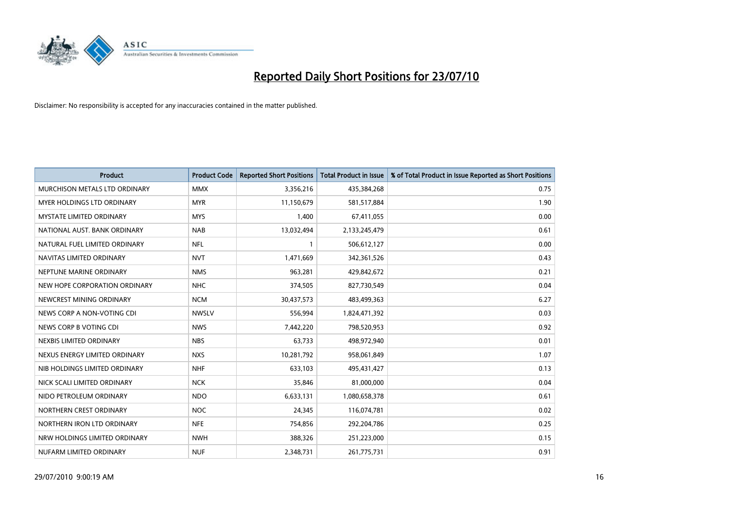

| <b>Product</b>                  | <b>Product Code</b> | <b>Reported Short Positions</b> | <b>Total Product in Issue</b> | % of Total Product in Issue Reported as Short Positions |
|---------------------------------|---------------------|---------------------------------|-------------------------------|---------------------------------------------------------|
| MURCHISON METALS LTD ORDINARY   | <b>MMX</b>          | 3,356,216                       | 435,384,268                   | 0.75                                                    |
| MYER HOLDINGS LTD ORDINARY      | <b>MYR</b>          | 11,150,679                      | 581,517,884                   | 1.90                                                    |
| <b>MYSTATE LIMITED ORDINARY</b> | <b>MYS</b>          | 1,400                           | 67,411,055                    | 0.00                                                    |
| NATIONAL AUST. BANK ORDINARY    | <b>NAB</b>          | 13,032,494                      | 2,133,245,479                 | 0.61                                                    |
| NATURAL FUEL LIMITED ORDINARY   | <b>NFL</b>          |                                 | 506,612,127                   | 0.00                                                    |
| NAVITAS LIMITED ORDINARY        | <b>NVT</b>          | 1,471,669                       | 342,361,526                   | 0.43                                                    |
| NEPTUNE MARINE ORDINARY         | <b>NMS</b>          | 963,281                         | 429,842,672                   | 0.21                                                    |
| NEW HOPE CORPORATION ORDINARY   | <b>NHC</b>          | 374,505                         | 827,730,549                   | 0.04                                                    |
| NEWCREST MINING ORDINARY        | <b>NCM</b>          | 30,437,573                      | 483,499,363                   | 6.27                                                    |
| NEWS CORP A NON-VOTING CDI      | <b>NWSLV</b>        | 556,994                         | 1,824,471,392                 | 0.03                                                    |
| NEWS CORP B VOTING CDI          | <b>NWS</b>          | 7,442,220                       | 798,520,953                   | 0.92                                                    |
| NEXBIS LIMITED ORDINARY         | <b>NBS</b>          | 63,733                          | 498,972,940                   | 0.01                                                    |
| NEXUS ENERGY LIMITED ORDINARY   | <b>NXS</b>          | 10,281,792                      | 958,061,849                   | 1.07                                                    |
| NIB HOLDINGS LIMITED ORDINARY   | <b>NHF</b>          | 633,103                         | 495,431,427                   | 0.13                                                    |
| NICK SCALI LIMITED ORDINARY     | <b>NCK</b>          | 35,846                          | 81,000,000                    | 0.04                                                    |
| NIDO PETROLEUM ORDINARY         | <b>NDO</b>          | 6,633,131                       | 1,080,658,378                 | 0.61                                                    |
| NORTHERN CREST ORDINARY         | <b>NOC</b>          | 24,345                          | 116,074,781                   | 0.02                                                    |
| NORTHERN IRON LTD ORDINARY      | <b>NFE</b>          | 754,856                         | 292,204,786                   | 0.25                                                    |
| NRW HOLDINGS LIMITED ORDINARY   | <b>NWH</b>          | 388,326                         | 251,223,000                   | 0.15                                                    |
| NUFARM LIMITED ORDINARY         | <b>NUF</b>          | 2,348,731                       | 261,775,731                   | 0.91                                                    |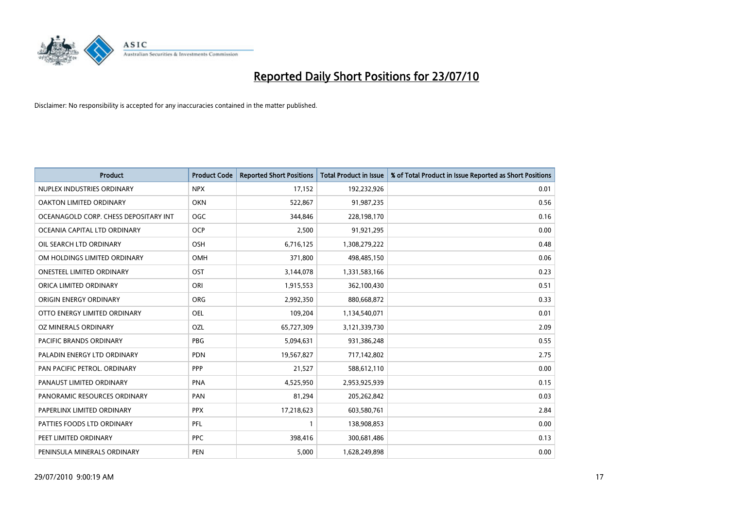

| <b>Product</b>                        | <b>Product Code</b> | <b>Reported Short Positions</b> | Total Product in Issue | % of Total Product in Issue Reported as Short Positions |
|---------------------------------------|---------------------|---------------------------------|------------------------|---------------------------------------------------------|
| NUPLEX INDUSTRIES ORDINARY            | <b>NPX</b>          | 17,152                          | 192,232,926            | 0.01                                                    |
| OAKTON LIMITED ORDINARY               | <b>OKN</b>          | 522,867                         | 91,987,235             | 0.56                                                    |
| OCEANAGOLD CORP. CHESS DEPOSITARY INT | <b>OGC</b>          | 344,846                         | 228,198,170            | 0.16                                                    |
| OCEANIA CAPITAL LTD ORDINARY          | <b>OCP</b>          | 2,500                           | 91,921,295             | 0.00                                                    |
| OIL SEARCH LTD ORDINARY               | OSH                 | 6,716,125                       | 1,308,279,222          | 0.48                                                    |
| OM HOLDINGS LIMITED ORDINARY          | <b>OMH</b>          | 371,800                         | 498,485,150            | 0.06                                                    |
| <b>ONESTEEL LIMITED ORDINARY</b>      | OST                 | 3,144,078                       | 1,331,583,166          | 0.23                                                    |
| ORICA LIMITED ORDINARY                | ORI                 | 1,915,553                       | 362,100,430            | 0.51                                                    |
| ORIGIN ENERGY ORDINARY                | <b>ORG</b>          | 2,992,350                       | 880,668,872            | 0.33                                                    |
| OTTO ENERGY LIMITED ORDINARY          | <b>OEL</b>          | 109,204                         | 1,134,540,071          | 0.01                                                    |
| OZ MINERALS ORDINARY                  | OZL                 | 65,727,309                      | 3,121,339,730          | 2.09                                                    |
| <b>PACIFIC BRANDS ORDINARY</b>        | <b>PBG</b>          | 5,094,631                       | 931,386,248            | 0.55                                                    |
| PALADIN ENERGY LTD ORDINARY           | <b>PDN</b>          | 19,567,827                      | 717,142,802            | 2.75                                                    |
| PAN PACIFIC PETROL. ORDINARY          | PPP                 | 21,527                          | 588,612,110            | 0.00                                                    |
| PANAUST LIMITED ORDINARY              | <b>PNA</b>          | 4,525,950                       | 2,953,925,939          | 0.15                                                    |
| PANORAMIC RESOURCES ORDINARY          | PAN                 | 81,294                          | 205,262,842            | 0.03                                                    |
| PAPERLINX LIMITED ORDINARY            | <b>PPX</b>          | 17,218,623                      | 603,580,761            | 2.84                                                    |
| PATTIES FOODS LTD ORDINARY            | PFL                 |                                 | 138,908,853            | 0.00                                                    |
| PEET LIMITED ORDINARY                 | <b>PPC</b>          | 398,416                         | 300,681,486            | 0.13                                                    |
| PENINSULA MINERALS ORDINARY           | <b>PEN</b>          | 5,000                           | 1,628,249,898          | 0.00                                                    |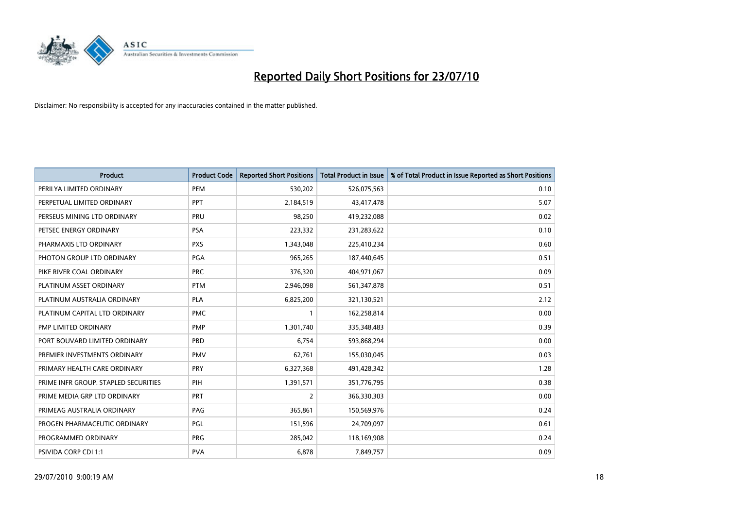

| <b>Product</b>                       | <b>Product Code</b> | <b>Reported Short Positions</b> | Total Product in Issue | % of Total Product in Issue Reported as Short Positions |
|--------------------------------------|---------------------|---------------------------------|------------------------|---------------------------------------------------------|
| PERILYA LIMITED ORDINARY             | PEM                 | 530,202                         | 526,075,563            | 0.10                                                    |
| PERPETUAL LIMITED ORDINARY           | PPT                 | 2,184,519                       | 43,417,478             | 5.07                                                    |
| PERSEUS MINING LTD ORDINARY          | PRU                 | 98,250                          | 419,232,088            | 0.02                                                    |
| PETSEC ENERGY ORDINARY               | PSA                 | 223,332                         | 231,283,622            | 0.10                                                    |
| PHARMAXIS LTD ORDINARY               | <b>PXS</b>          | 1,343,048                       | 225,410,234            | 0.60                                                    |
| PHOTON GROUP LTD ORDINARY            | PGA                 | 965,265                         | 187,440,645            | 0.51                                                    |
| PIKE RIVER COAL ORDINARY             | <b>PRC</b>          | 376,320                         | 404,971,067            | 0.09                                                    |
| PLATINUM ASSET ORDINARY              | <b>PTM</b>          | 2,946,098                       | 561,347,878            | 0.51                                                    |
| PLATINUM AUSTRALIA ORDINARY          | <b>PLA</b>          | 6,825,200                       | 321,130,521            | 2.12                                                    |
| PLATINUM CAPITAL LTD ORDINARY        | <b>PMC</b>          |                                 | 162,258,814            | 0.00                                                    |
| PMP LIMITED ORDINARY                 | <b>PMP</b>          | 1,301,740                       | 335,348,483            | 0.39                                                    |
| PORT BOUVARD LIMITED ORDINARY        | PBD                 | 6,754                           | 593,868,294            | 0.00                                                    |
| PREMIER INVESTMENTS ORDINARY         | <b>PMV</b>          | 62,761                          | 155,030,045            | 0.03                                                    |
| PRIMARY HEALTH CARE ORDINARY         | PRY                 | 6,327,368                       | 491,428,342            | 1.28                                                    |
| PRIME INFR GROUP. STAPLED SECURITIES | PIH                 | 1,391,571                       | 351,776,795            | 0.38                                                    |
| PRIME MEDIA GRP LTD ORDINARY         | <b>PRT</b>          | 2                               | 366,330,303            | 0.00                                                    |
| PRIMEAG AUSTRALIA ORDINARY           | PAG                 | 365,861                         | 150,569,976            | 0.24                                                    |
| PROGEN PHARMACEUTIC ORDINARY         | PGL                 | 151,596                         | 24,709,097             | 0.61                                                    |
| PROGRAMMED ORDINARY                  | <b>PRG</b>          | 285,042                         | 118,169,908            | 0.24                                                    |
| PSIVIDA CORP CDI 1:1                 | <b>PVA</b>          | 6,878                           | 7,849,757              | 0.09                                                    |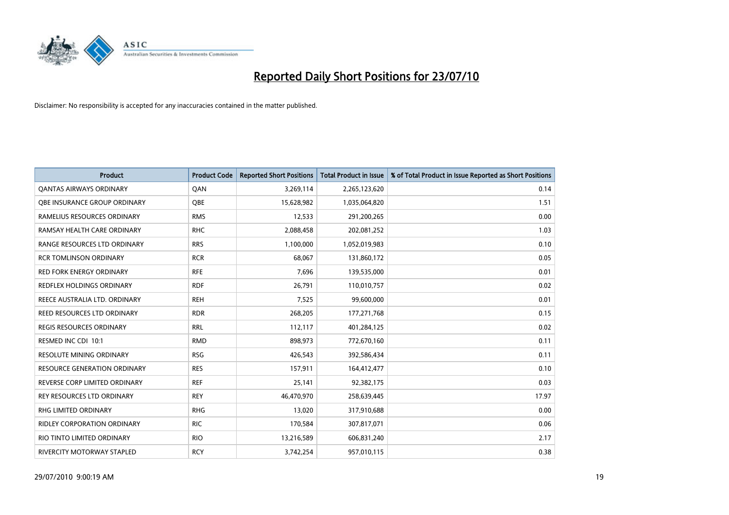

| <b>Product</b>                      | <b>Product Code</b> | <b>Reported Short Positions</b> | <b>Total Product in Issue</b> | % of Total Product in Issue Reported as Short Positions |
|-------------------------------------|---------------------|---------------------------------|-------------------------------|---------------------------------------------------------|
| <b>QANTAS AIRWAYS ORDINARY</b>      | QAN                 | 3,269,114                       | 2,265,123,620                 | 0.14                                                    |
| <b>OBE INSURANCE GROUP ORDINARY</b> | OBE                 | 15,628,982                      | 1,035,064,820                 | 1.51                                                    |
| RAMELIUS RESOURCES ORDINARY         | <b>RMS</b>          | 12,533                          | 291,200,265                   | 0.00                                                    |
| RAMSAY HEALTH CARE ORDINARY         | <b>RHC</b>          | 2,088,458                       | 202,081,252                   | 1.03                                                    |
| RANGE RESOURCES LTD ORDINARY        | <b>RRS</b>          | 1,100,000                       | 1,052,019,983                 | 0.10                                                    |
| <b>RCR TOMLINSON ORDINARY</b>       | <b>RCR</b>          | 68.067                          | 131,860,172                   | 0.05                                                    |
| <b>RED FORK ENERGY ORDINARY</b>     | <b>RFE</b>          | 7,696                           | 139,535,000                   | 0.01                                                    |
| REDFLEX HOLDINGS ORDINARY           | <b>RDF</b>          | 26,791                          | 110,010,757                   | 0.02                                                    |
| REECE AUSTRALIA LTD. ORDINARY       | <b>REH</b>          | 7,525                           | 99,600,000                    | 0.01                                                    |
| <b>REED RESOURCES LTD ORDINARY</b>  | <b>RDR</b>          | 268,205                         | 177,271,768                   | 0.15                                                    |
| <b>REGIS RESOURCES ORDINARY</b>     | <b>RRL</b>          | 112,117                         | 401,284,125                   | 0.02                                                    |
| RESMED INC CDI 10:1                 | <b>RMD</b>          | 898,973                         | 772,670,160                   | 0.11                                                    |
| <b>RESOLUTE MINING ORDINARY</b>     | <b>RSG</b>          | 426,543                         | 392,586,434                   | 0.11                                                    |
| <b>RESOURCE GENERATION ORDINARY</b> | <b>RES</b>          | 157,911                         | 164,412,477                   | 0.10                                                    |
| REVERSE CORP LIMITED ORDINARY       | <b>REF</b>          | 25,141                          | 92,382,175                    | 0.03                                                    |
| <b>REY RESOURCES LTD ORDINARY</b>   | <b>REY</b>          | 46,470,970                      | 258,639,445                   | 17.97                                                   |
| <b>RHG LIMITED ORDINARY</b>         | <b>RHG</b>          | 13,020                          | 317,910,688                   | 0.00                                                    |
| RIDLEY CORPORATION ORDINARY         | <b>RIC</b>          | 170,584                         | 307,817,071                   | 0.06                                                    |
| RIO TINTO LIMITED ORDINARY          | <b>RIO</b>          | 13,216,589                      | 606,831,240                   | 2.17                                                    |
| RIVERCITY MOTORWAY STAPLED          | <b>RCY</b>          | 3,742,254                       | 957,010,115                   | 0.38                                                    |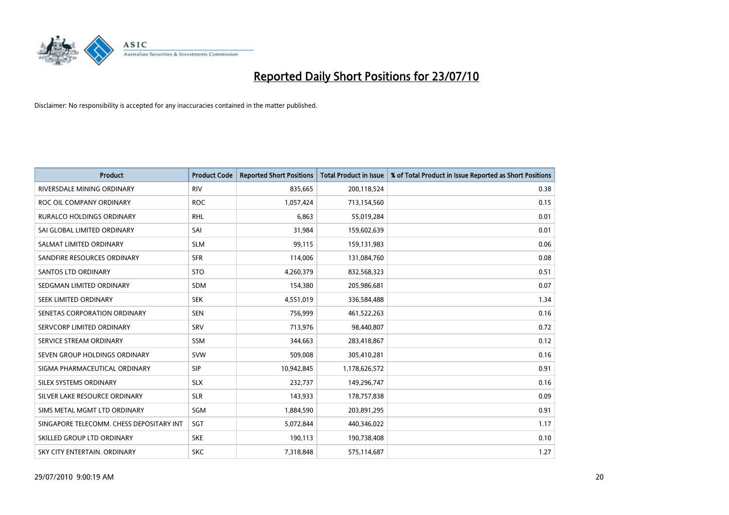

| <b>Product</b>                           | <b>Product Code</b> | <b>Reported Short Positions</b> | <b>Total Product in Issue</b> | % of Total Product in Issue Reported as Short Positions |
|------------------------------------------|---------------------|---------------------------------|-------------------------------|---------------------------------------------------------|
| RIVERSDALE MINING ORDINARY               | <b>RIV</b>          | 835,665                         | 200,118,524                   | 0.38                                                    |
| ROC OIL COMPANY ORDINARY                 | <b>ROC</b>          | 1,057,424                       | 713,154,560                   | 0.15                                                    |
| <b>RURALCO HOLDINGS ORDINARY</b>         | <b>RHL</b>          | 6,863                           | 55,019,284                    | 0.01                                                    |
| SAI GLOBAL LIMITED ORDINARY              | SAI                 | 31,984                          | 159,602,639                   | 0.01                                                    |
| SALMAT LIMITED ORDINARY                  | <b>SLM</b>          | 99,115                          | 159,131,983                   | 0.06                                                    |
| SANDFIRE RESOURCES ORDINARY              | <b>SFR</b>          | 114,006                         | 131,084,760                   | 0.08                                                    |
| <b>SANTOS LTD ORDINARY</b>               | <b>STO</b>          | 4,260,379                       | 832,568,323                   | 0.51                                                    |
| SEDGMAN LIMITED ORDINARY                 | <b>SDM</b>          | 154,380                         | 205,986,681                   | 0.07                                                    |
| SEEK LIMITED ORDINARY                    | <b>SEK</b>          | 4,551,019                       | 336,584,488                   | 1.34                                                    |
| SENETAS CORPORATION ORDINARY             | <b>SEN</b>          | 756,999                         | 461,522,263                   | 0.16                                                    |
| SERVCORP LIMITED ORDINARY                | SRV                 | 713,976                         | 98,440,807                    | 0.72                                                    |
| SERVICE STREAM ORDINARY                  | <b>SSM</b>          | 344,663                         | 283,418,867                   | 0.12                                                    |
| SEVEN GROUP HOLDINGS ORDINARY            | <b>SVW</b>          | 509,008                         | 305,410,281                   | 0.16                                                    |
| SIGMA PHARMACEUTICAL ORDINARY            | SIP                 | 10,942,845                      | 1,178,626,572                 | 0.91                                                    |
| SILEX SYSTEMS ORDINARY                   | <b>SLX</b>          | 232,737                         | 149,296,747                   | 0.16                                                    |
| SILVER LAKE RESOURCE ORDINARY            | <b>SLR</b>          | 143,933                         | 178,757,838                   | 0.09                                                    |
| SIMS METAL MGMT LTD ORDINARY             | SGM                 | 1,884,590                       | 203,891,295                   | 0.91                                                    |
| SINGAPORE TELECOMM. CHESS DEPOSITARY INT | SGT                 | 5,072,844                       | 440,346,022                   | 1.17                                                    |
| SKILLED GROUP LTD ORDINARY               | <b>SKE</b>          | 190,113                         | 190,738,408                   | 0.10                                                    |
| SKY CITY ENTERTAIN. ORDINARY             | <b>SKC</b>          | 7,318,848                       | 575,114,687                   | 1.27                                                    |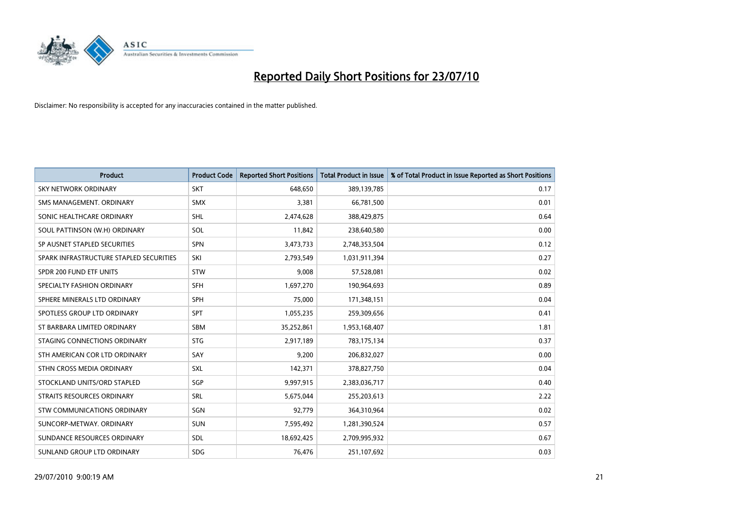

| <b>Product</b>                          | <b>Product Code</b> | <b>Reported Short Positions</b> | <b>Total Product in Issue</b> | % of Total Product in Issue Reported as Short Positions |
|-----------------------------------------|---------------------|---------------------------------|-------------------------------|---------------------------------------------------------|
| <b>SKY NETWORK ORDINARY</b>             | <b>SKT</b>          | 648.650                         | 389,139,785                   | 0.17                                                    |
| SMS MANAGEMENT. ORDINARY                | <b>SMX</b>          | 3,381                           | 66,781,500                    | 0.01                                                    |
| SONIC HEALTHCARE ORDINARY               | <b>SHL</b>          | 2,474,628                       | 388,429,875                   | 0.64                                                    |
| SOUL PATTINSON (W.H) ORDINARY           | SOL                 | 11,842                          | 238,640,580                   | 0.00                                                    |
| SP AUSNET STAPLED SECURITIES            | SPN                 | 3,473,733                       | 2,748,353,504                 | 0.12                                                    |
| SPARK INFRASTRUCTURE STAPLED SECURITIES | SKI                 | 2,793,549                       | 1,031,911,394                 | 0.27                                                    |
| SPDR 200 FUND ETF UNITS                 | STW                 | 9,008                           | 57,528,081                    | 0.02                                                    |
| SPECIALTY FASHION ORDINARY              | <b>SFH</b>          | 1,697,270                       | 190,964,693                   | 0.89                                                    |
| SPHERE MINERALS LTD ORDINARY            | <b>SPH</b>          | 75,000                          | 171,348,151                   | 0.04                                                    |
| SPOTLESS GROUP LTD ORDINARY             | <b>SPT</b>          | 1,055,235                       | 259,309,656                   | 0.41                                                    |
| ST BARBARA LIMITED ORDINARY             | <b>SBM</b>          | 35,252,861                      | 1,953,168,407                 | 1.81                                                    |
| STAGING CONNECTIONS ORDINARY            | <b>STG</b>          | 2,917,189                       | 783,175,134                   | 0.37                                                    |
| STH AMERICAN COR LTD ORDINARY           | SAY                 | 9,200                           | 206,832,027                   | 0.00                                                    |
| STHN CROSS MEDIA ORDINARY               | SXL                 | 142,371                         | 378,827,750                   | 0.04                                                    |
| STOCKLAND UNITS/ORD STAPLED             | SGP                 | 9,997,915                       | 2,383,036,717                 | 0.40                                                    |
| STRAITS RESOURCES ORDINARY              | SRL                 | 5,675,044                       | 255,203,613                   | 2.22                                                    |
| STW COMMUNICATIONS ORDINARY             | SGN                 | 92,779                          | 364,310,964                   | 0.02                                                    |
| SUNCORP-METWAY, ORDINARY                | <b>SUN</b>          | 7,595,492                       | 1,281,390,524                 | 0.57                                                    |
| SUNDANCE RESOURCES ORDINARY             | <b>SDL</b>          | 18,692,425                      | 2,709,995,932                 | 0.67                                                    |
| SUNLAND GROUP LTD ORDINARY              | <b>SDG</b>          | 76,476                          | 251,107,692                   | 0.03                                                    |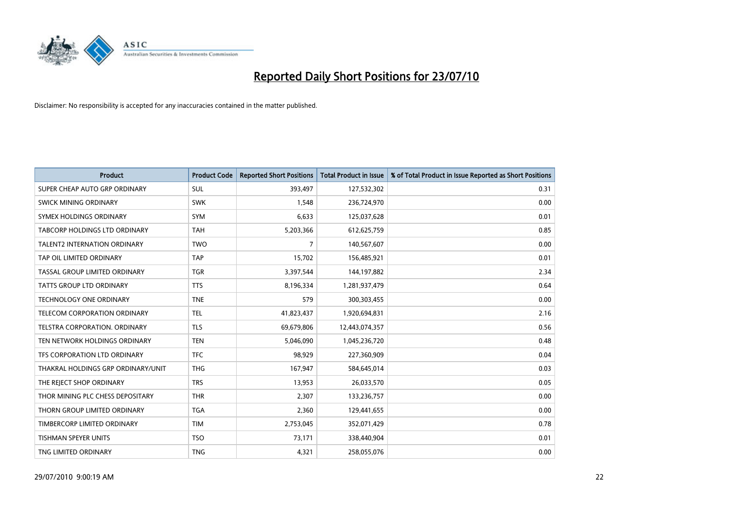

| <b>Product</b>                      | <b>Product Code</b> | <b>Reported Short Positions</b> | Total Product in Issue | % of Total Product in Issue Reported as Short Positions |
|-------------------------------------|---------------------|---------------------------------|------------------------|---------------------------------------------------------|
| SUPER CHEAP AUTO GRP ORDINARY       | <b>SUL</b>          | 393,497                         | 127,532,302            | 0.31                                                    |
| SWICK MINING ORDINARY               | <b>SWK</b>          | 1,548                           | 236,724,970            | 0.00                                                    |
| SYMEX HOLDINGS ORDINARY             | <b>SYM</b>          | 6.633                           | 125,037,628            | 0.01                                                    |
| TABCORP HOLDINGS LTD ORDINARY       | <b>TAH</b>          | 5,203,366                       | 612,625,759            | 0.85                                                    |
| <b>TALENT2 INTERNATION ORDINARY</b> | <b>TWO</b>          | $\overline{7}$                  | 140,567,607            | 0.00                                                    |
| TAP OIL LIMITED ORDINARY            | <b>TAP</b>          | 15,702                          | 156,485,921            | 0.01                                                    |
| TASSAL GROUP LIMITED ORDINARY       | <b>TGR</b>          | 3,397,544                       | 144,197,882            | 2.34                                                    |
| TATTS GROUP LTD ORDINARY            | <b>TTS</b>          | 8,196,334                       | 1,281,937,479          | 0.64                                                    |
| <b>TECHNOLOGY ONE ORDINARY</b>      | <b>TNE</b>          | 579                             | 300, 303, 455          | 0.00                                                    |
| TELECOM CORPORATION ORDINARY        | <b>TEL</b>          | 41,823,437                      | 1,920,694,831          | 2.16                                                    |
| TELSTRA CORPORATION. ORDINARY       | <b>TLS</b>          | 69,679,806                      | 12,443,074,357         | 0.56                                                    |
| TEN NETWORK HOLDINGS ORDINARY       | <b>TEN</b>          | 5,046,090                       | 1,045,236,720          | 0.48                                                    |
| TFS CORPORATION LTD ORDINARY        | <b>TFC</b>          | 98,929                          | 227,360,909            | 0.04                                                    |
| THAKRAL HOLDINGS GRP ORDINARY/UNIT  | <b>THG</b>          | 167,947                         | 584,645,014            | 0.03                                                    |
| THE REJECT SHOP ORDINARY            | <b>TRS</b>          | 13,953                          | 26,033,570             | 0.05                                                    |
| THOR MINING PLC CHESS DEPOSITARY    | <b>THR</b>          | 2,307                           | 133,236,757            | 0.00                                                    |
| THORN GROUP LIMITED ORDINARY        | <b>TGA</b>          | 2,360                           | 129,441,655            | 0.00                                                    |
| TIMBERCORP LIMITED ORDINARY         | <b>TIM</b>          | 2,753,045                       | 352,071,429            | 0.78                                                    |
| <b>TISHMAN SPEYER UNITS</b>         | <b>TSO</b>          | 73,171                          | 338,440,904            | 0.01                                                    |
| TNG LIMITED ORDINARY                | <b>TNG</b>          | 4,321                           | 258,055,076            | 0.00                                                    |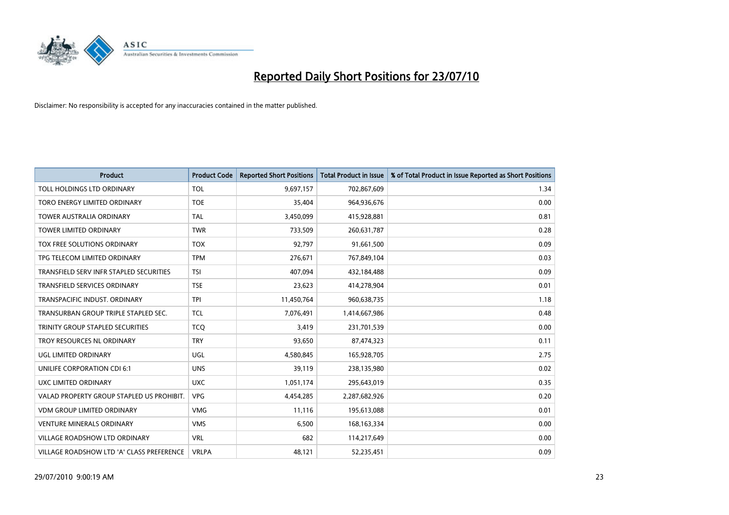

| <b>Product</b>                            | <b>Product Code</b> | <b>Reported Short Positions</b> | Total Product in Issue | % of Total Product in Issue Reported as Short Positions |
|-------------------------------------------|---------------------|---------------------------------|------------------------|---------------------------------------------------------|
| TOLL HOLDINGS LTD ORDINARY                | <b>TOL</b>          | 9,697,157                       | 702,867,609            | 1.34                                                    |
| TORO ENERGY LIMITED ORDINARY              | <b>TOE</b>          | 35,404                          | 964,936,676            | 0.00                                                    |
| <b>TOWER AUSTRALIA ORDINARY</b>           | <b>TAL</b>          | 3,450,099                       | 415,928,881            | 0.81                                                    |
| TOWER LIMITED ORDINARY                    | <b>TWR</b>          | 733,509                         | 260,631,787            | 0.28                                                    |
| <b>TOX FREE SOLUTIONS ORDINARY</b>        | <b>TOX</b>          | 92,797                          | 91,661,500             | 0.09                                                    |
| TPG TELECOM LIMITED ORDINARY              | <b>TPM</b>          | 276,671                         | 767,849,104            | 0.03                                                    |
| TRANSFIELD SERV INFR STAPLED SECURITIES   | <b>TSI</b>          | 407,094                         | 432,184,488            | 0.09                                                    |
| <b>TRANSFIELD SERVICES ORDINARY</b>       | <b>TSE</b>          | 23,623                          | 414,278,904            | 0.01                                                    |
| TRANSPACIFIC INDUST. ORDINARY             | <b>TPI</b>          | 11,450,764                      | 960,638,735            | 1.18                                                    |
| TRANSURBAN GROUP TRIPLE STAPLED SEC.      | <b>TCL</b>          | 7,076,491                       | 1,414,667,986          | 0.48                                                    |
| TRINITY GROUP STAPLED SECURITIES          | <b>TCQ</b>          | 3,419                           | 231,701,539            | 0.00                                                    |
| TROY RESOURCES NL ORDINARY                | <b>TRY</b>          | 93,650                          | 87,474,323             | 0.11                                                    |
| UGL LIMITED ORDINARY                      | UGL                 | 4,580,845                       | 165,928,705            | 2.75                                                    |
| UNILIFE CORPORATION CDI 6:1               | <b>UNS</b>          | 39,119                          | 238,135,980            | 0.02                                                    |
| UXC LIMITED ORDINARY                      | <b>UXC</b>          | 1,051,174                       | 295,643,019            | 0.35                                                    |
| VALAD PROPERTY GROUP STAPLED US PROHIBIT. | <b>VPG</b>          | 4,454,285                       | 2,287,682,926          | 0.20                                                    |
| <b>VDM GROUP LIMITED ORDINARY</b>         | <b>VMG</b>          | 11,116                          | 195,613,088            | 0.01                                                    |
| VENTURE MINERALS ORDINARY                 | <b>VMS</b>          | 6,500                           | 168, 163, 334          | 0.00                                                    |
| <b>VILLAGE ROADSHOW LTD ORDINARY</b>      | <b>VRL</b>          | 682                             | 114,217,649            | 0.00                                                    |
| VILLAGE ROADSHOW LTD 'A' CLASS PREFERENCE | <b>VRLPA</b>        | 48,121                          | 52,235,451             | 0.09                                                    |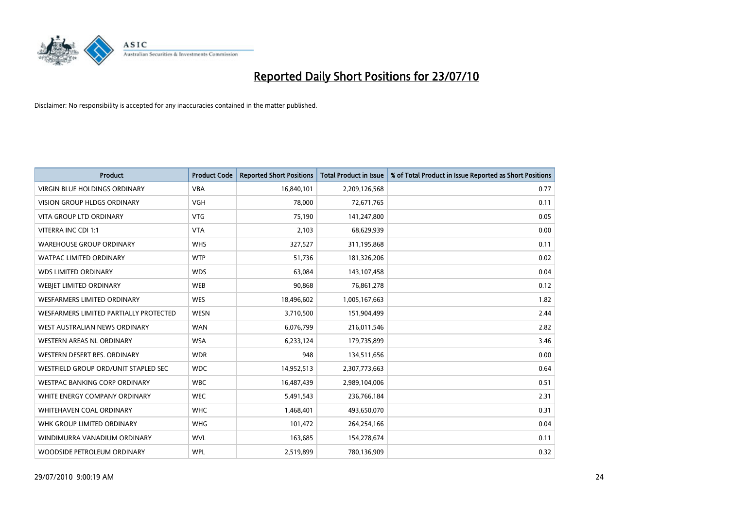

| <b>Product</b>                         | <b>Product Code</b> | <b>Reported Short Positions</b> | Total Product in Issue | % of Total Product in Issue Reported as Short Positions |
|----------------------------------------|---------------------|---------------------------------|------------------------|---------------------------------------------------------|
| <b>VIRGIN BLUE HOLDINGS ORDINARY</b>   | <b>VBA</b>          | 16,840,101                      | 2,209,126,568          | 0.77                                                    |
| VISION GROUP HLDGS ORDINARY            | <b>VGH</b>          | 78,000                          | 72,671,765             | 0.11                                                    |
| <b>VITA GROUP LTD ORDINARY</b>         | <b>VTG</b>          | 75.190                          | 141,247,800            | 0.05                                                    |
| VITERRA INC CDI 1:1                    | <b>VTA</b>          | 2,103                           | 68,629,939             | 0.00                                                    |
| <b>WAREHOUSE GROUP ORDINARY</b>        | <b>WHS</b>          | 327,527                         | 311,195,868            | 0.11                                                    |
| <b>WATPAC LIMITED ORDINARY</b>         | <b>WTP</b>          | 51,736                          | 181,326,206            | 0.02                                                    |
| <b>WDS LIMITED ORDINARY</b>            | <b>WDS</b>          | 63,084                          | 143,107,458            | 0.04                                                    |
| WEBIET LIMITED ORDINARY                | <b>WEB</b>          | 90,868                          | 76,861,278             | 0.12                                                    |
| <b>WESFARMERS LIMITED ORDINARY</b>     | <b>WES</b>          | 18,496,602                      | 1,005,167,663          | 1.82                                                    |
| WESFARMERS LIMITED PARTIALLY PROTECTED | <b>WESN</b>         | 3,710,500                       | 151,904,499            | 2.44                                                    |
| WEST AUSTRALIAN NEWS ORDINARY          | <b>WAN</b>          | 6,076,799                       | 216,011,546            | 2.82                                                    |
| WESTERN AREAS NL ORDINARY              | <b>WSA</b>          | 6,233,124                       | 179,735,899            | 3.46                                                    |
| WESTERN DESERT RES. ORDINARY           | <b>WDR</b>          | 948                             | 134,511,656            | 0.00                                                    |
| WESTFIELD GROUP ORD/UNIT STAPLED SEC   | <b>WDC</b>          | 14,952,513                      | 2,307,773,663          | 0.64                                                    |
| <b>WESTPAC BANKING CORP ORDINARY</b>   | <b>WBC</b>          | 16,487,439                      | 2,989,104,006          | 0.51                                                    |
| WHITE ENERGY COMPANY ORDINARY          | <b>WEC</b>          | 5,491,543                       | 236,766,184            | 2.31                                                    |
| WHITEHAVEN COAL ORDINARY               | <b>WHC</b>          | 1,468,401                       | 493,650,070            | 0.31                                                    |
| WHK GROUP LIMITED ORDINARY             | <b>WHG</b>          | 101,472                         | 264,254,166            | 0.04                                                    |
| WINDIMURRA VANADIUM ORDINARY           | <b>WVL</b>          | 163,685                         | 154,278,674            | 0.11                                                    |
| WOODSIDE PETROLEUM ORDINARY            | <b>WPL</b>          | 2,519,899                       | 780,136,909            | 0.32                                                    |